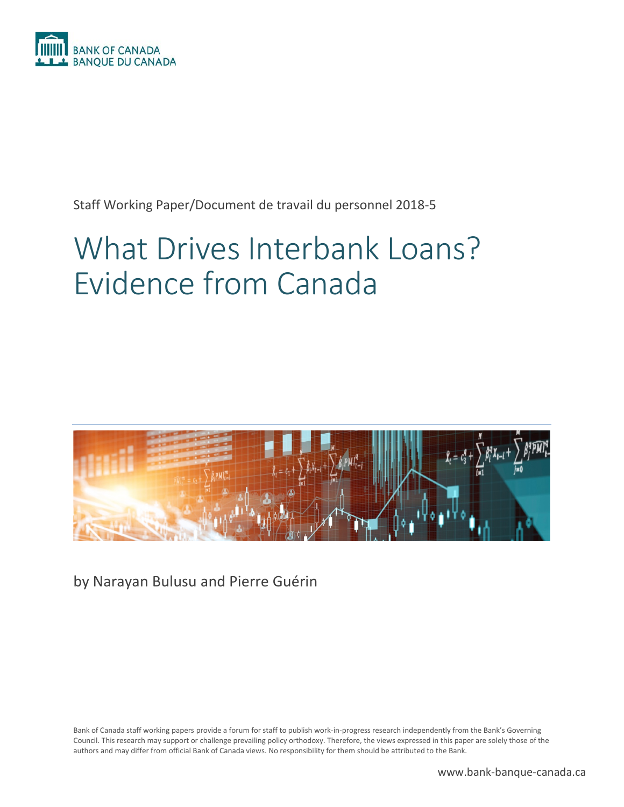

Staff Working Paper/Document de travail du personnel 2018-5

# What Drives Interbank Loans? Evidence from Canada



by Narayan Bulusu and Pierre Guérin

Bank of Canada staff working papers provide a forum for staff to publish work-in-progress research independently from the Bank's Governing Council. This research may support or challenge prevailing policy orthodoxy. Therefore, the views expressed in this paper are solely those of the authors and may differ from official Bank of Canada views. No responsibility for them should be attributed to the Bank.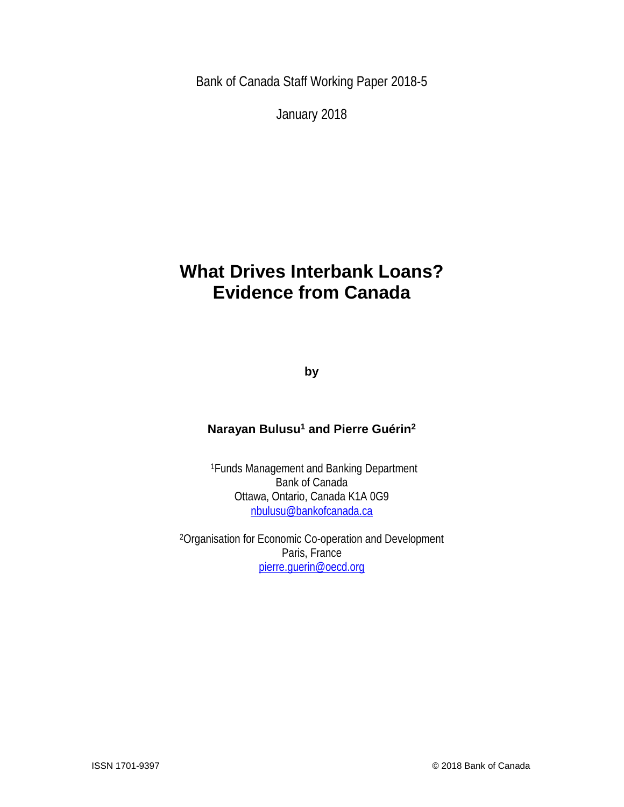Bank of Canada Staff Working Paper 2018-5

January 2018

# **What Drives Interbank Loans? Evidence from Canada**

**by**

## **Narayan Bulusu1 and Pierre Guérin2**

1Funds Management and Banking Department Bank of Canada Ottawa, Ontario, Canada K1A 0G9 [nbulusu@bankofcanada.ca](mailto:nbulusu@bankofcanada.ca)

2Organisation for Economic Co-operation and Development Paris, France [pierre.guerin@oecd.org](mailto:pierre.guerin@oecd.org)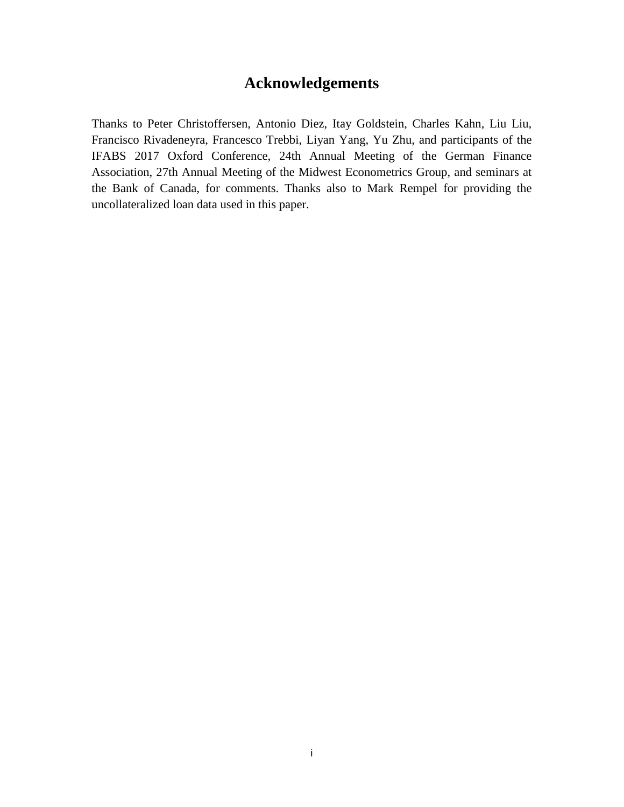# **Acknowledgements**

Thanks to Peter Christoffersen, Antonio Diez, Itay Goldstein, Charles Kahn, Liu Liu, Francisco Rivadeneyra, Francesco Trebbi, Liyan Yang, Yu Zhu, and participants of the IFABS 2017 Oxford Conference, 24th Annual Meeting of the German Finance Association, 27th Annual Meeting of the Midwest Econometrics Group, and seminars at the Bank of Canada, for comments. Thanks also to Mark Rempel for providing the uncollateralized loan data used in this paper.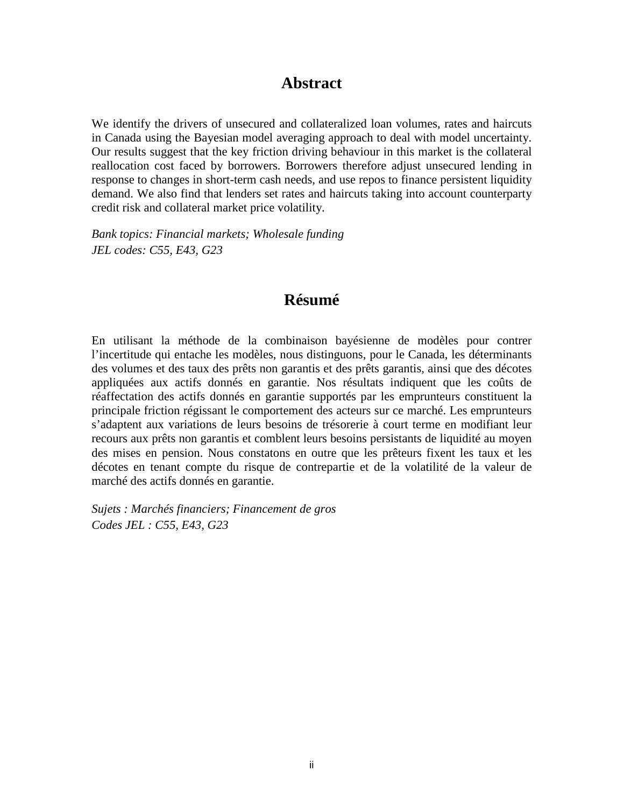# **Abstract**

We identify the drivers of unsecured and collateralized loan volumes, rates and haircuts in Canada using the Bayesian model averaging approach to deal with model uncertainty. Our results suggest that the key friction driving behaviour in this market is the collateral reallocation cost faced by borrowers. Borrowers therefore adjust unsecured lending in response to changes in short-term cash needs, and use repos to finance persistent liquidity demand. We also find that lenders set rates and haircuts taking into account counterparty credit risk and collateral market price volatility.

*Bank topics: Financial markets; Wholesale funding JEL codes: C55, E43, G23*

# **Résumé**

En utilisant la méthode de la combinaison bayésienne de modèles pour contrer l'incertitude qui entache les modèles, nous distinguons, pour le Canada, les déterminants des volumes et des taux des prêts non garantis et des prêts garantis, ainsi que des décotes appliquées aux actifs donnés en garantie. Nos résultats indiquent que les coûts de réaffectation des actifs donnés en garantie supportés par les emprunteurs constituent la principale friction régissant le comportement des acteurs sur ce marché. Les emprunteurs s'adaptent aux variations de leurs besoins de trésorerie à court terme en modifiant leur recours aux prêts non garantis et comblent leurs besoins persistants de liquidité au moyen des mises en pension. Nous constatons en outre que les prêteurs fixent les taux et les décotes en tenant compte du risque de contrepartie et de la volatilité de la valeur de marché des actifs donnés en garantie.

*Sujets : Marchés financiers; Financement de gros Codes JEL : C55, E43, G23*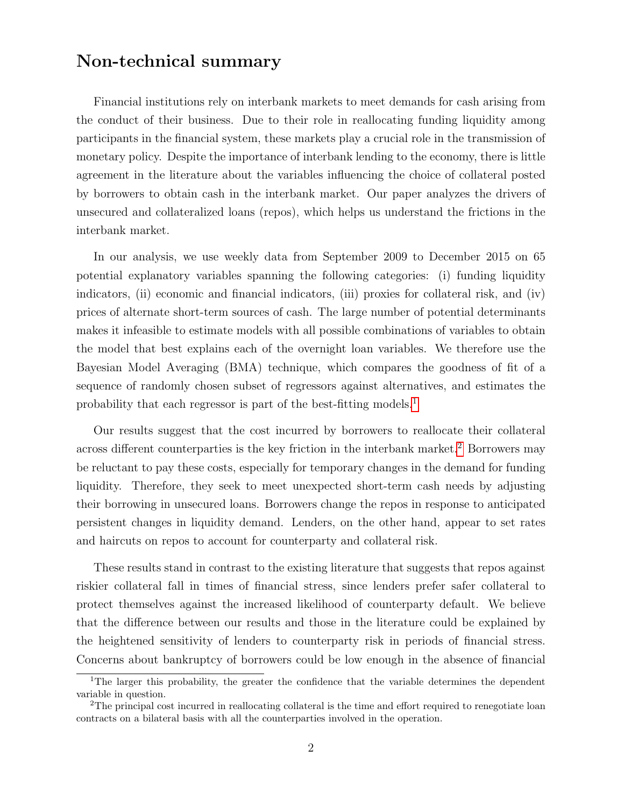# Non-technical summary

Financial institutions rely on interbank markets to meet demands for cash arising from the conduct of their business. Due to their role in reallocating funding liquidity among participants in the financial system, these markets play a crucial role in the transmission of monetary policy. Despite the importance of interbank lending to the economy, there is little agreement in the literature about the variables influencing the choice of collateral posted by borrowers to obtain cash in the interbank market. Our paper analyzes the drivers of unsecured and collateralized loans (repos), which helps us understand the frictions in the interbank market.

In our analysis, we use weekly data from September 2009 to December 2015 on 65 potential explanatory variables spanning the following categories: (i) funding liquidity indicators, (ii) economic and financial indicators, (iii) proxies for collateral risk, and (iv) prices of alternate short-term sources of cash. The large number of potential determinants makes it infeasible to estimate models with all possible combinations of variables to obtain the model that best explains each of the overnight loan variables. We therefore use the Bayesian Model Averaging (BMA) technique, which compares the goodness of fit of a sequence of randomly chosen subset of regressors against alternatives, and estimates the probability that each regressor is part of the best-fitting models.<sup>[1](#page-4-0)</sup>

Our results suggest that the cost incurred by borrowers to reallocate their collateral across different counterparties is the key friction in the interbank market.<sup>[2](#page-4-1)</sup> Borrowers may be reluctant to pay these costs, especially for temporary changes in the demand for funding liquidity. Therefore, they seek to meet unexpected short-term cash needs by adjusting their borrowing in unsecured loans. Borrowers change the repos in response to anticipated persistent changes in liquidity demand. Lenders, on the other hand, appear to set rates and haircuts on repos to account for counterparty and collateral risk.

These results stand in contrast to the existing literature that suggests that repos against riskier collateral fall in times of financial stress, since lenders prefer safer collateral to protect themselves against the increased likelihood of counterparty default. We believe that the difference between our results and those in the literature could be explained by the heightened sensitivity of lenders to counterparty risk in periods of financial stress. Concerns about bankruptcy of borrowers could be low enough in the absence of financial

<span id="page-4-0"></span><sup>&</sup>lt;sup>1</sup>The larger this probability, the greater the confidence that the variable determines the dependent variable in question.

<span id="page-4-1"></span><sup>&</sup>lt;sup>2</sup>The principal cost incurred in reallocating collateral is the time and effort required to renegotiate loan contracts on a bilateral basis with all the counterparties involved in the operation.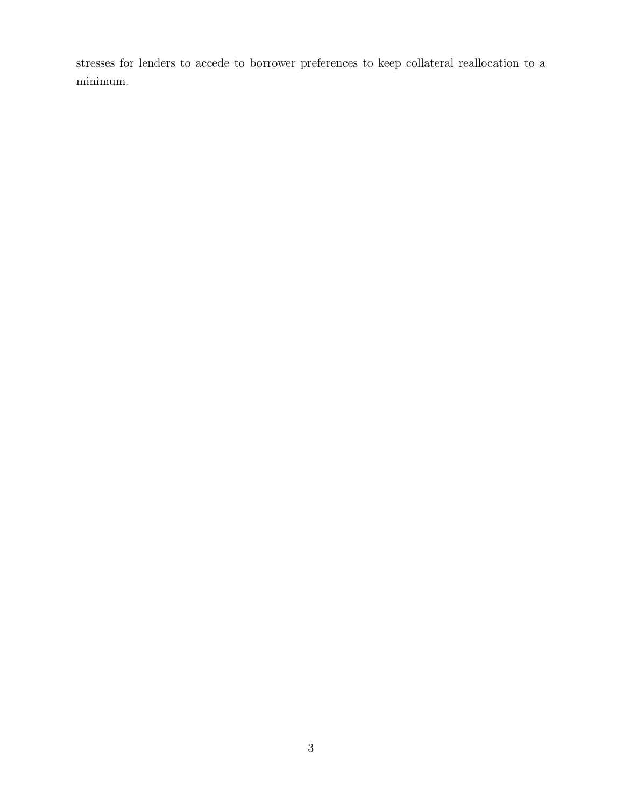stresses for lenders to accede to borrower preferences to keep collateral reallocation to a minimum.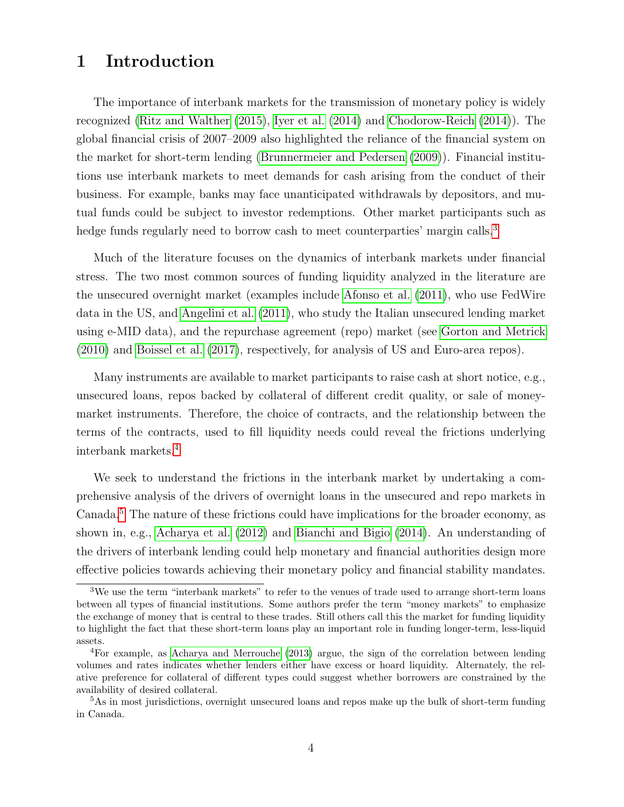# 1 Introduction

The importance of interbank markets for the transmission of monetary policy is widely recognized [\(Ritz and Walther](#page-28-0) [\(2015\)](#page-28-0), [Iyer et al.](#page-27-0) [\(2014\)](#page-27-0) and [Chodorow-Reich](#page-26-0) [\(2014\)](#page-26-0)). The global financial crisis of 2007–2009 also highlighted the reliance of the financial system on the market for short-term lending [\(Brunnermeier and Pedersen](#page-26-1) [\(2009\)](#page-26-1)). Financial institutions use interbank markets to meet demands for cash arising from the conduct of their business. For example, banks may face unanticipated withdrawals by depositors, and mutual funds could be subject to investor redemptions. Other market participants such as hedge funds regularly need to borrow cash to meet counterparties' margin calls.<sup>[3](#page-6-0)</sup>

Much of the literature focuses on the dynamics of interbank markets under financial stress. The two most common sources of funding liquidity analyzed in the literature are the unsecured overnight market (examples include [Afonso et al.](#page-25-0) [\(2011\)](#page-25-0), who use FedWire data in the US, and [Angelini et al.](#page-25-1) [\(2011\)](#page-25-1), who study the Italian unsecured lending market using e-MID data), and the repurchase agreement (repo) market (see [Gorton and Metrick](#page-27-1) [\(2010\)](#page-27-1) and [Boissel et al.](#page-25-2) [\(2017\)](#page-25-2), respectively, for analysis of US and Euro-area repos).

Many instruments are available to market participants to raise cash at short notice, e.g., unsecured loans, repos backed by collateral of different credit quality, or sale of moneymarket instruments. Therefore, the choice of contracts, and the relationship between the terms of the contracts, used to fill liquidity needs could reveal the frictions underlying interbank markets.[4](#page-6-1)

We seek to understand the frictions in the interbank market by undertaking a comprehensive analysis of the drivers of overnight loans in the unsecured and repo markets in Canada.[5](#page-6-2) The nature of these frictions could have implications for the broader economy, as shown in, e.g., [Acharya et al.](#page-25-3) [\(2012\)](#page-25-3) and [Bianchi and Bigio](#page-25-4) [\(2014\)](#page-25-4). An understanding of the drivers of interbank lending could help monetary and financial authorities design more effective policies towards achieving their monetary policy and financial stability mandates.

<span id="page-6-0"></span> $3$ We use the term "interbank markets" to refer to the venues of trade used to arrange short-term loans between all types of financial institutions. Some authors prefer the term "money markets" to emphasize the exchange of money that is central to these trades. Still others call this the market for funding liquidity to highlight the fact that these short-term loans play an important role in funding longer-term, less-liquid assets.

<span id="page-6-1"></span><sup>4</sup>For example, as [Acharya and Merrouche](#page-25-5) [\(2013\)](#page-25-5) argue, the sign of the correlation between lending volumes and rates indicates whether lenders either have excess or hoard liquidity. Alternately, the relative preference for collateral of different types could suggest whether borrowers are constrained by the availability of desired collateral.

<span id="page-6-2"></span><sup>&</sup>lt;sup>5</sup>As in most jurisdictions, overnight unsecured loans and repos make up the bulk of short-term funding in Canada.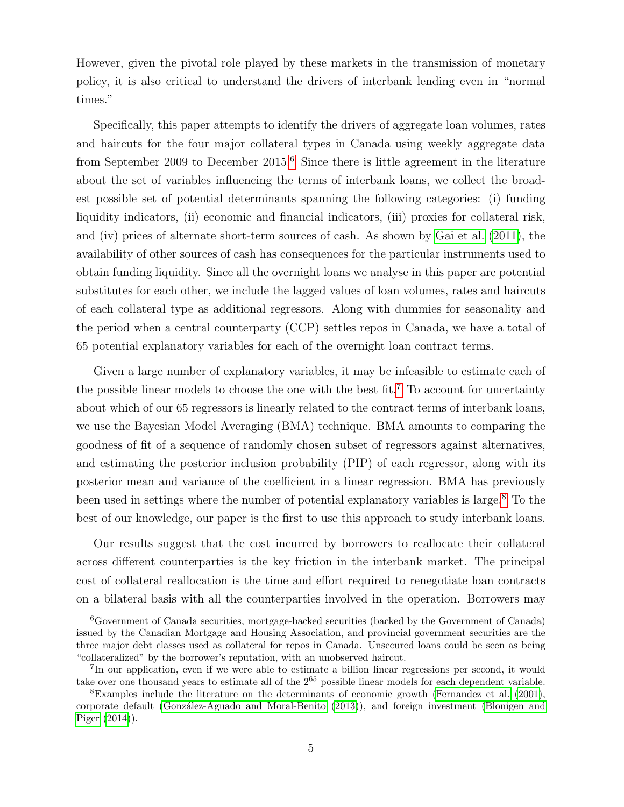However, given the pivotal role played by these markets in the transmission of monetary policy, it is also critical to understand the drivers of interbank lending even in "normal times."

Specifically, this paper attempts to identify the drivers of aggregate loan volumes, rates and haircuts for the four major collateral types in Canada using weekly aggregate data from September 2009 to December 2015.[6](#page-7-0) Since there is little agreement in the literature about the set of variables influencing the terms of interbank loans, we collect the broadest possible set of potential determinants spanning the following categories: (i) funding liquidity indicators, (ii) economic and financial indicators, (iii) proxies for collateral risk, and (iv) prices of alternate short-term sources of cash. As shown by [Gai et al.](#page-26-2) [\(2011\)](#page-26-2), the availability of other sources of cash has consequences for the particular instruments used to obtain funding liquidity. Since all the overnight loans we analyse in this paper are potential substitutes for each other, we include the lagged values of loan volumes, rates and haircuts of each collateral type as additional regressors. Along with dummies for seasonality and the period when a central counterparty (CCP) settles repos in Canada, we have a total of 65 potential explanatory variables for each of the overnight loan contract terms.

Given a large number of explanatory variables, it may be infeasible to estimate each of the possible linear models to choose the one with the best fit.<sup>[7](#page-7-1)</sup> To account for uncertainty about which of our 65 regressors is linearly related to the contract terms of interbank loans, we use the Bayesian Model Averaging (BMA) technique. BMA amounts to comparing the goodness of fit of a sequence of randomly chosen subset of regressors against alternatives, and estimating the posterior inclusion probability (PIP) of each regressor, along with its posterior mean and variance of the coefficient in a linear regression. BMA has previously been used in settings where the number of potential explanatory variables is large.[8](#page-7-2) To the best of our knowledge, our paper is the first to use this approach to study interbank loans.

Our results suggest that the cost incurred by borrowers to reallocate their collateral across different counterparties is the key friction in the interbank market. The principal cost of collateral reallocation is the time and effort required to renegotiate loan contracts on a bilateral basis with all the counterparties involved in the operation. Borrowers may

<span id="page-7-0"></span> $6G$ overnment of Canada securities, mortgage-backed securities (backed by the Government of Canada) issued by the Canadian Mortgage and Housing Association, and provincial government securities are the three major debt classes used as collateral for repos in Canada. Unsecured loans could be seen as being "collateralized" by the borrower's reputation, with an unobserved haircut.

<span id="page-7-1"></span><sup>7</sup> In our application, even if we were able to estimate a billion linear regressions per second, it would take over one thousand years to estimate all of the  $2^{65}$  possible linear models for each dependent variable.

<span id="page-7-2"></span><sup>8</sup>Examples include the literature on the determinants of economic growth [\(Fernandez et al.](#page-26-3) [\(2001\)](#page-26-3), corporate default [\(Gonz´alez-Aguado and Moral-Benito](#page-27-2) [\(2013\)](#page-27-2)), and foreign investment [\(Blonigen and](#page-25-6) [Piger](#page-25-6) [\(2014\)](#page-25-6)).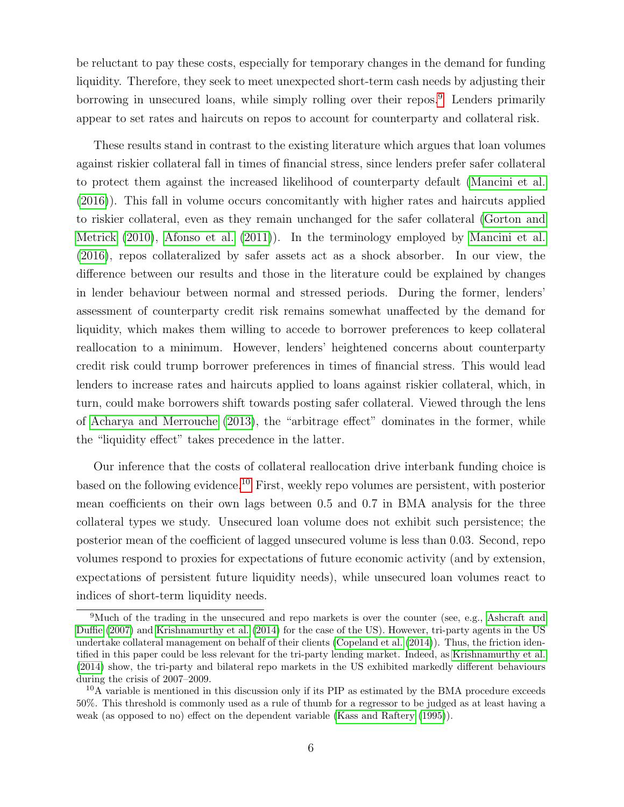be reluctant to pay these costs, especially for temporary changes in the demand for funding liquidity. Therefore, they seek to meet unexpected short-term cash needs by adjusting their borrowing in unsecured loans, while simply rolling over their repos.<sup>[9](#page-8-0)</sup> Lenders primarily appear to set rates and haircuts on repos to account for counterparty and collateral risk.

These results stand in contrast to the existing literature which argues that loan volumes against riskier collateral fall in times of financial stress, since lenders prefer safer collateral to protect them against the increased likelihood of counterparty default [\(Mancini et al.](#page-28-1) [\(2016\)](#page-28-1)). This fall in volume occurs concomitantly with higher rates and haircuts applied to riskier collateral, even as they remain unchanged for the safer collateral [\(Gorton and](#page-27-1) [Metrick](#page-27-1) [\(2010\)](#page-27-1), [Afonso et al.](#page-25-0) [\(2011\)](#page-25-0)). In the terminology employed by [Mancini et al.](#page-28-1) [\(2016\)](#page-28-1), repos collateralized by safer assets act as a shock absorber. In our view, the difference between our results and those in the literature could be explained by changes in lender behaviour between normal and stressed periods. During the former, lenders' assessment of counterparty credit risk remains somewhat unaffected by the demand for liquidity, which makes them willing to accede to borrower preferences to keep collateral reallocation to a minimum. However, lenders' heightened concerns about counterparty credit risk could trump borrower preferences in times of financial stress. This would lead lenders to increase rates and haircuts applied to loans against riskier collateral, which, in turn, could make borrowers shift towards posting safer collateral. Viewed through the lens of [Acharya and Merrouche](#page-25-5) [\(2013\)](#page-25-5), the "arbitrage effect" dominates in the former, while the "liquidity effect" takes precedence in the latter.

Our inference that the costs of collateral reallocation drive interbank funding choice is based on the following evidence.[10](#page-8-1) First, weekly repo volumes are persistent, with posterior mean coefficients on their own lags between 0.5 and 0.7 in BMA analysis for the three collateral types we study. Unsecured loan volume does not exhibit such persistence; the posterior mean of the coefficient of lagged unsecured volume is less than 0.03. Second, repo volumes respond to proxies for expectations of future economic activity (and by extension, expectations of persistent future liquidity needs), while unsecured loan volumes react to indices of short-term liquidity needs.

<span id="page-8-0"></span><sup>&</sup>lt;sup>9</sup>Much of the trading in the unsecured and repo markets is over the counter (see, e.g., [Ashcraft and](#page-25-7) [Duffie](#page-25-7) [\(2007\)](#page-25-7) and [Krishnamurthy et al.](#page-28-2) [\(2014\)](#page-28-2) for the case of the US). However, tri-party agents in the US undertake collateral management on behalf of their clients [\(Copeland et al.](#page-26-4) [\(2014\)](#page-26-4)). Thus, the friction identified in this paper could be less relevant for the tri-party lending market. Indeed, as [Krishnamurthy et al.](#page-28-2) [\(2014\)](#page-28-2) show, the tri-party and bilateral repo markets in the US exhibited markedly different behaviours during the crisis of 2007–2009.

<span id="page-8-1"></span><sup>10</sup>A variable is mentioned in this discussion only if its PIP as estimated by the BMA procedure exceeds 50%. This threshold is commonly used as a rule of thumb for a regressor to be judged as at least having a weak (as opposed to no) effect on the dependent variable [\(Kass and Raftery](#page-27-3) [\(1995\)](#page-27-3)).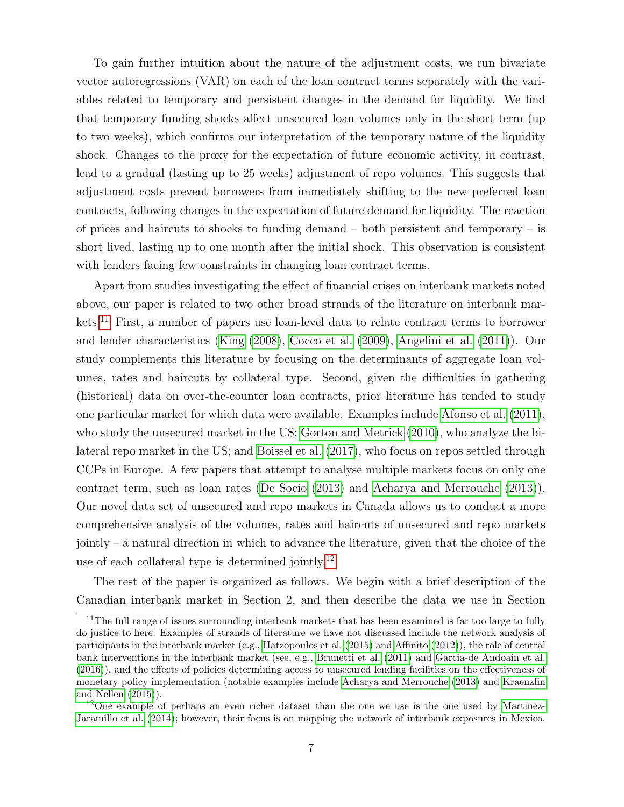To gain further intuition about the nature of the adjustment costs, we run bivariate vector autoregressions (VAR) on each of the loan contract terms separately with the variables related to temporary and persistent changes in the demand for liquidity. We find that temporary funding shocks affect unsecured loan volumes only in the short term (up to two weeks), which confirms our interpretation of the temporary nature of the liquidity shock. Changes to the proxy for the expectation of future economic activity, in contrast, lead to a gradual (lasting up to 25 weeks) adjustment of repo volumes. This suggests that adjustment costs prevent borrowers from immediately shifting to the new preferred loan contracts, following changes in the expectation of future demand for liquidity. The reaction of prices and haircuts to shocks to funding demand – both persistent and temporary – is short lived, lasting up to one month after the initial shock. This observation is consistent with lenders facing few constraints in changing loan contract terms.

Apart from studies investigating the effect of financial crises on interbank markets noted above, our paper is related to two other broad strands of the literature on interbank markets.[11](#page-9-0) First, a number of papers use loan-level data to relate contract terms to borrower and lender characteristics [\(King](#page-27-4) [\(2008\)](#page-27-4), [Cocco et al.](#page-26-5) [\(2009\)](#page-26-5), [Angelini et al.](#page-25-1) [\(2011\)](#page-25-1)). Our study complements this literature by focusing on the determinants of aggregate loan volumes, rates and haircuts by collateral type. Second, given the difficulties in gathering (historical) data on over-the-counter loan contracts, prior literature has tended to study one particular market for which data were available. Examples include [Afonso et al.](#page-25-0) [\(2011\)](#page-25-0), who study the unsecured market in the US; [Gorton and Metrick](#page-27-1) [\(2010\)](#page-27-1), who analyze the bilateral repo market in the US; and [Boissel et al.](#page-25-2) [\(2017\)](#page-25-2), who focus on repos settled through CCPs in Europe. A few papers that attempt to analyse multiple markets focus on only one contract term, such as loan rates [\(De Socio](#page-26-6) [\(2013\)](#page-26-6) and [Acharya and Merrouche](#page-25-5) [\(2013\)](#page-25-5)). Our novel data set of unsecured and repo markets in Canada allows us to conduct a more comprehensive analysis of the volumes, rates and haircuts of unsecured and repo markets jointly – a natural direction in which to advance the literature, given that the choice of the use of each collateral type is determined jointly.<sup>[12](#page-9-1)</sup>

The rest of the paper is organized as follows. We begin with a brief description of the Canadian interbank market in Section 2, and then describe the data we use in Section

<span id="page-9-0"></span> $11$ The full range of issues surrounding interbank markets that has been examined is far too large to fully do justice to here. Examples of strands of literature we have not discussed include the network analysis of participants in the interbank market (e.g., [Hatzopoulos et al.](#page-27-5) [\(2015\)](#page-27-5) and [Affinito](#page-25-8) [\(2012\)](#page-25-8)), the role of central bank interventions in the interbank market (see, e.g., [Brunetti et al.](#page-25-9) [\(2011\)](#page-25-9) and [Garcia-de Andoain et al.](#page-26-7) [\(2016\)](#page-26-7)), and the effects of policies determining access to unsecured lending facilities on the effectiveness of monetary policy implementation (notable examples include [Acharya and Merrouche](#page-25-5) [\(2013\)](#page-25-5) and [Kraenzlin](#page-27-6) [and Nellen](#page-27-6) [\(2015\)](#page-27-6)).

<span id="page-9-1"></span> $12$ One example of perhaps an even richer dataset than the one we use is the one used by [Martinez-](#page-28-3)[Jaramillo et al.](#page-28-3) [\(2014\)](#page-28-3); however, their focus is on mapping the network of interbank exposures in Mexico.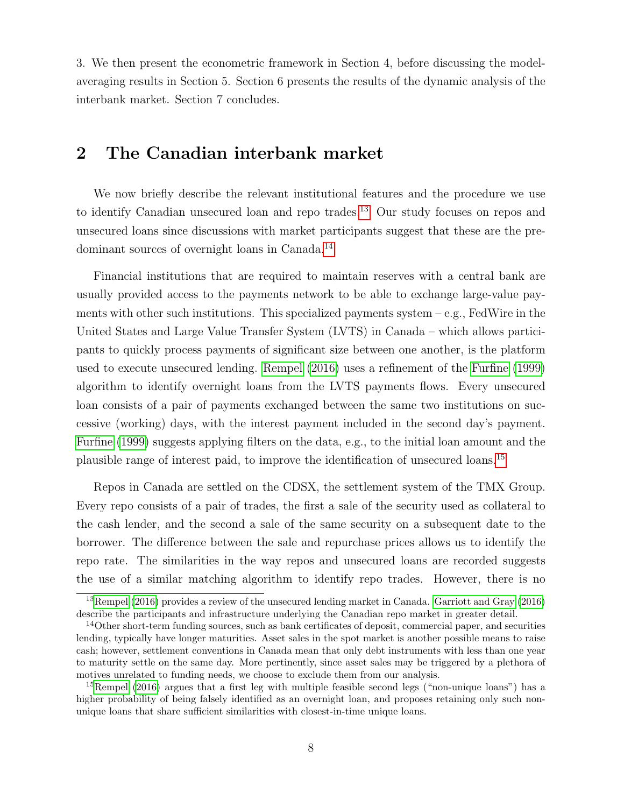3. We then present the econometric framework in Section 4, before discussing the modelaveraging results in Section 5. Section 6 presents the results of the dynamic analysis of the interbank market. Section 7 concludes.

# 2 The Canadian interbank market

We now briefly describe the relevant institutional features and the procedure we use to identify Canadian unsecured loan and repo trades.<sup>[13](#page-10-0)</sup> Our study focuses on repos and unsecured loans since discussions with market participants suggest that these are the predominant sources of overnight loans in Canada.[14](#page-10-1)

Financial institutions that are required to maintain reserves with a central bank are usually provided access to the payments network to be able to exchange large-value payments with other such institutions. This specialized payments system  $-e.g.,$  FedWire in the United States and Large Value Transfer System (LVTS) in Canada – which allows participants to quickly process payments of significant size between one another, is the platform used to execute unsecured lending. [Rempel](#page-28-4) [\(2016\)](#page-28-4) uses a refinement of the [Furfine](#page-26-8) [\(1999\)](#page-26-8) algorithm to identify overnight loans from the LVTS payments flows. Every unsecured loan consists of a pair of payments exchanged between the same two institutions on successive (working) days, with the interest payment included in the second day's payment. [Furfine](#page-26-8) [\(1999\)](#page-26-8) suggests applying filters on the data, e.g., to the initial loan amount and the plausible range of interest paid, to improve the identification of unsecured loans.[15](#page-10-2)

Repos in Canada are settled on the CDSX, the settlement system of the TMX Group. Every repo consists of a pair of trades, the first a sale of the security used as collateral to the cash lender, and the second a sale of the same security on a subsequent date to the borrower. The difference between the sale and repurchase prices allows us to identify the repo rate. The similarities in the way repos and unsecured loans are recorded suggests the use of a similar matching algorithm to identify repo trades. However, there is no

<span id="page-10-0"></span><sup>13</sup>[Rempel](#page-28-4) [\(2016\)](#page-28-4) provides a review of the unsecured lending market in Canada. [Garriott and Gray](#page-27-7) [\(2016\)](#page-27-7) describe the participants and infrastructure underlying the Canadian repo market in greater detail.

<span id="page-10-1"></span><sup>&</sup>lt;sup>14</sup>Other short-term funding sources, such as bank certificates of deposit, commercial paper, and securities lending, typically have longer maturities. Asset sales in the spot market is another possible means to raise cash; however, settlement conventions in Canada mean that only debt instruments with less than one year to maturity settle on the same day. More pertinently, since asset sales may be triggered by a plethora of motives unrelated to funding needs, we choose to exclude them from our analysis.

<span id="page-10-2"></span><sup>&</sup>lt;sup>15</sup>[Rempel](#page-28-4) [\(2016\)](#page-28-4) argues that a first leg with multiple feasible second legs ("non-unique loans") has a higher probability of being falsely identified as an overnight loan, and proposes retaining only such nonunique loans that share sufficient similarities with closest-in-time unique loans.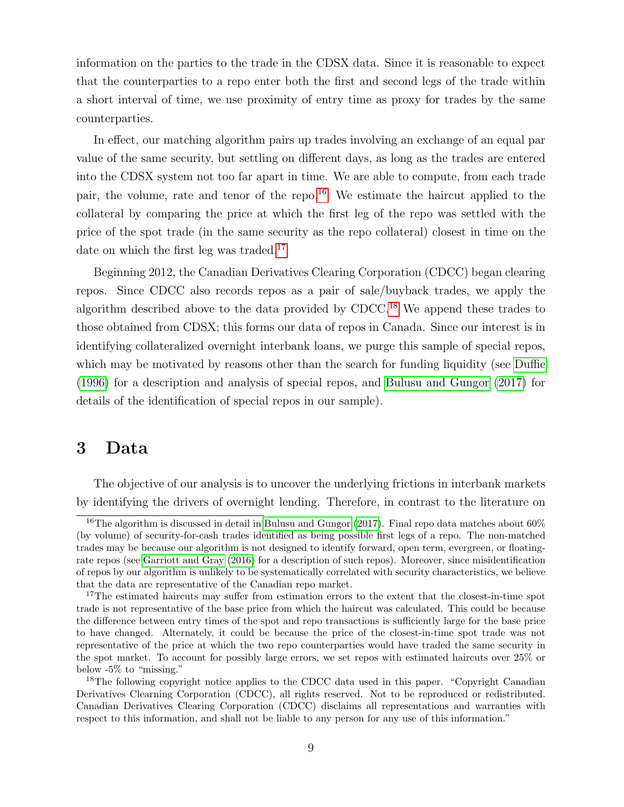information on the parties to the trade in the CDSX data. Since it is reasonable to expect that the counterparties to a repo enter both the first and second legs of the trade within a short interval of time, we use proximity of entry time as proxy for trades by the same counterparties.

In effect, our matching algorithm pairs up trades involving an exchange of an equal par value of the same security, but settling on different days, as long as the trades are entered into the CDSX system not too far apart in time. We are able to compute, from each trade pair, the volume, rate and tenor of the repo.[16](#page-11-0) We estimate the haircut applied to the collateral by comparing the price at which the first leg of the repo was settled with the price of the spot trade (in the same security as the repo collateral) closest in time on the date on which the first leg was traded.<sup>[17](#page-11-1)</sup>

Beginning 2012, the Canadian Derivatives Clearing Corporation (CDCC) began clearing repos. Since CDCC also records repos as a pair of sale/buyback trades, we apply the algorithm described above to the data provided by  $\text{CDCC}.^{18}$  $\text{CDCC}.^{18}$  $\text{CDCC}.^{18}$  We append these trades to those obtained from CDSX; this forms our data of repos in Canada. Since our interest is in identifying collateralized overnight interbank loans, we purge this sample of special repos, which may be motivated by reasons other than the search for funding liquidity (see [Duffie](#page-26-9) [\(1996\)](#page-26-9) for a description and analysis of special repos, and [Bulusu and Gungor](#page-26-10) [\(2017\)](#page-26-10) for details of the identification of special repos in our sample).

## 3 Data

The objective of our analysis is to uncover the underlying frictions in interbank markets by identifying the drivers of overnight lending. Therefore, in contrast to the literature on

<span id="page-11-0"></span><sup>&</sup>lt;sup>16</sup>The algorithm is discussed in detail in [Bulusu and Gungor](#page-26-10) [\(2017\)](#page-26-10). Final repo data matches about 60% (by volume) of security-for-cash trades identified as being possible first legs of a repo. The non-matched trades may be because our algorithm is not designed to identify forward, open term, evergreen, or floatingrate repos (see [Garriott and Gray](#page-27-7) [\(2016\)](#page-27-7) for a description of such repos). Moreover, since misidentification of repos by our algorithm is unlikely to be systematically correlated with security characteristics, we believe that the data are representative of the Canadian repo market.

<span id="page-11-1"></span><sup>&</sup>lt;sup>17</sup>The estimated haircuts may suffer from estimation errors to the extent that the closest-in-time spot trade is not representative of the base price from which the haircut was calculated. This could be because the difference between entry times of the spot and repo transactions is sufficiently large for the base price to have changed. Alternately, it could be because the price of the closest-in-time spot trade was not representative of the price at which the two repo counterparties would have traded the same security in the spot market. To account for possibly large errors, we set repos with estimated haircuts over 25% or below -5% to "missing."

<span id="page-11-2"></span><sup>&</sup>lt;sup>18</sup>The following copyright notice applies to the CDCC data used in this paper. "Copyright Canadian" Derivatives Clearning Corporation (CDCC), all rights reserved. Not to be reproduced or redistributed. Canadian Derivatives Clearing Corporation (CDCC) disclaims all representations and warranties with respect to this information, and shall not be liable to any person for any use of this information."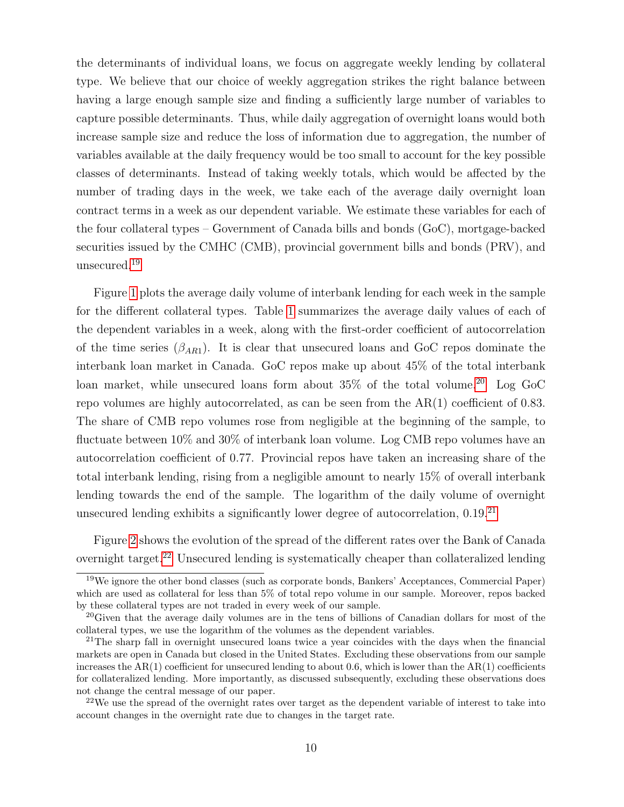the determinants of individual loans, we focus on aggregate weekly lending by collateral type. We believe that our choice of weekly aggregation strikes the right balance between having a large enough sample size and finding a sufficiently large number of variables to capture possible determinants. Thus, while daily aggregation of overnight loans would both increase sample size and reduce the loss of information due to aggregation, the number of variables available at the daily frequency would be too small to account for the key possible classes of determinants. Instead of taking weekly totals, which would be affected by the number of trading days in the week, we take each of the average daily overnight loan contract terms in a week as our dependent variable. We estimate these variables for each of the four collateral types – Government of Canada bills and bonds (GoC), mortgage-backed securities issued by the CMHC (CMB), provincial government bills and bonds (PRV), and unsecured.<sup>[19](#page-12-0)</sup>

Figure [1](#page-29-0) plots the average daily volume of interbank lending for each week in the sample for the different collateral types. Table [1](#page-35-0) summarizes the average daily values of each of the dependent variables in a week, along with the first-order coefficient of autocorrelation of the time series  $(\beta_{AR1})$ . It is clear that unsecured loans and GoC repos dominate the interbank loan market in Canada. GoC repos make up about 45% of the total interbank loan market, while unsecured loans form about  $35\%$  of the total volume.<sup>[20](#page-12-1)</sup> Log GoC repo volumes are highly autocorrelated, as can be seen from the AR(1) coefficient of 0.83. The share of CMB repo volumes rose from negligible at the beginning of the sample, to fluctuate between 10% and 30% of interbank loan volume. Log CMB repo volumes have an autocorrelation coefficient of 0.77. Provincial repos have taken an increasing share of the total interbank lending, rising from a negligible amount to nearly 15% of overall interbank lending towards the end of the sample. The logarithm of the daily volume of overnight unsecured lending exhibits a significantly lower degree of autocorrelation, 0.19.[21](#page-12-2)

Figure [2](#page-30-0) shows the evolution of the spread of the different rates over the Bank of Canada overnight target.[22](#page-12-3) Unsecured lending is systematically cheaper than collateralized lending

<span id="page-12-0"></span> $19$ We ignore the other bond classes (such as corporate bonds, Bankers' Acceptances, Commercial Paper) which are used as collateral for less than 5% of total repo volume in our sample. Moreover, repos backed by these collateral types are not traded in every week of our sample.

<span id="page-12-1"></span><sup>20</sup>Given that the average daily volumes are in the tens of billions of Canadian dollars for most of the collateral types, we use the logarithm of the volumes as the dependent variables.

<span id="page-12-2"></span><sup>&</sup>lt;sup>21</sup>The sharp fall in overnight unsecured loans twice a year coincides with the days when the financial markets are open in Canada but closed in the United States. Excluding these observations from our sample increases the  $AR(1)$  coefficient for unsecured lending to about 0.6, which is lower than the  $AR(1)$  coefficients for collateralized lending. More importantly, as discussed subsequently, excluding these observations does not change the central message of our paper.

<span id="page-12-3"></span> $22$ We use the spread of the overnight rates over target as the dependent variable of interest to take into account changes in the overnight rate due to changes in the target rate.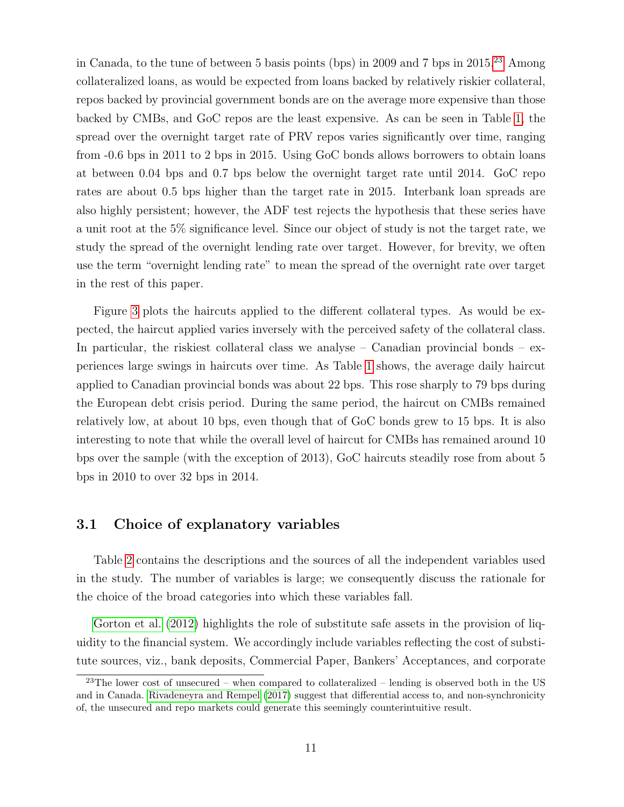in Canada, to the tune of between 5 basis points (bps) in 2009 and 7 bps in 2015.[23](#page-13-0) Among collateralized loans, as would be expected from loans backed by relatively riskier collateral, repos backed by provincial government bonds are on the average more expensive than those backed by CMBs, and GoC repos are the least expensive. As can be seen in Table [1,](#page-35-0) the spread over the overnight target rate of PRV repos varies significantly over time, ranging from -0.6 bps in 2011 to 2 bps in 2015. Using GoC bonds allows borrowers to obtain loans at between 0.04 bps and 0.7 bps below the overnight target rate until 2014. GoC repo rates are about 0.5 bps higher than the target rate in 2015. Interbank loan spreads are also highly persistent; however, the ADF test rejects the hypothesis that these series have a unit root at the 5% significance level. Since our object of study is not the target rate, we study the spread of the overnight lending rate over target. However, for brevity, we often use the term "overnight lending rate" to mean the spread of the overnight rate over target in the rest of this paper.

Figure [3](#page-31-0) plots the haircuts applied to the different collateral types. As would be expected, the haircut applied varies inversely with the perceived safety of the collateral class. In particular, the riskiest collateral class we analyse – Canadian provincial bonds – experiences large swings in haircuts over time. As Table [1](#page-35-0) shows, the average daily haircut applied to Canadian provincial bonds was about 22 bps. This rose sharply to 79 bps during the European debt crisis period. During the same period, the haircut on CMBs remained relatively low, at about 10 bps, even though that of GoC bonds grew to 15 bps. It is also interesting to note that while the overall level of haircut for CMBs has remained around 10 bps over the sample (with the exception of 2013), GoC haircuts steadily rose from about 5 bps in 2010 to over 32 bps in 2014.

#### 3.1 Choice of explanatory variables

Table [2](#page-36-0) contains the descriptions and the sources of all the independent variables used in the study. The number of variables is large; we consequently discuss the rationale for the choice of the broad categories into which these variables fall.

[Gorton et al.](#page-27-8) [\(2012\)](#page-27-8) highlights the role of substitute safe assets in the provision of liquidity to the financial system. We accordingly include variables reflecting the cost of substitute sources, viz., bank deposits, Commercial Paper, Bankers' Acceptances, and corporate

<span id="page-13-0"></span><sup>&</sup>lt;sup>23</sup>The lower cost of unsecured – when compared to collateralized – lending is observed both in the US and in Canada. [Rivadeneyra and Rempel](#page-28-5) [\(2017\)](#page-28-5) suggest that differential access to, and non-synchronicity of, the unsecured and repo markets could generate this seemingly counterintuitive result.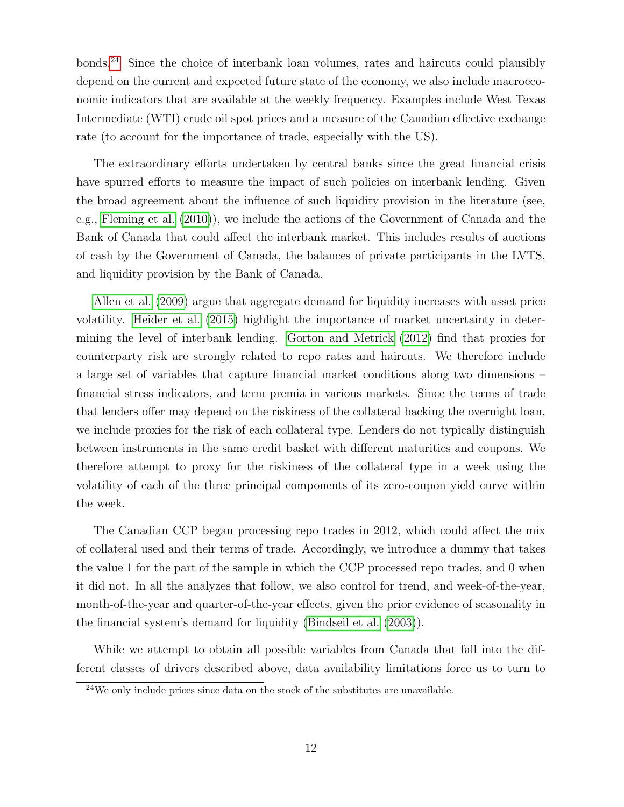bonds.[24](#page-14-0) Since the choice of interbank loan volumes, rates and haircuts could plausibly depend on the current and expected future state of the economy, we also include macroeconomic indicators that are available at the weekly frequency. Examples include West Texas Intermediate (WTI) crude oil spot prices and a measure of the Canadian effective exchange rate (to account for the importance of trade, especially with the US).

The extraordinary efforts undertaken by central banks since the great financial crisis have spurred efforts to measure the impact of such policies on interbank lending. Given the broad agreement about the influence of such liquidity provision in the literature (see, e.g., [Fleming et al.](#page-26-11) [\(2010\)](#page-26-11)), we include the actions of the Government of Canada and the Bank of Canada that could affect the interbank market. This includes results of auctions of cash by the Government of Canada, the balances of private participants in the LVTS, and liquidity provision by the Bank of Canada.

[Allen et al.](#page-25-10) [\(2009\)](#page-25-10) argue that aggregate demand for liquidity increases with asset price volatility. [Heider et al.](#page-27-9) [\(2015\)](#page-27-9) highlight the importance of market uncertainty in determining the level of interbank lending. [Gorton and Metrick](#page-27-10) [\(2012\)](#page-27-10) find that proxies for counterparty risk are strongly related to repo rates and haircuts. We therefore include a large set of variables that capture financial market conditions along two dimensions – financial stress indicators, and term premia in various markets. Since the terms of trade that lenders offer may depend on the riskiness of the collateral backing the overnight loan, we include proxies for the risk of each collateral type. Lenders do not typically distinguish between instruments in the same credit basket with different maturities and coupons. We therefore attempt to proxy for the riskiness of the collateral type in a week using the volatility of each of the three principal components of its zero-coupon yield curve within the week.

The Canadian CCP began processing repo trades in 2012, which could affect the mix of collateral used and their terms of trade. Accordingly, we introduce a dummy that takes the value 1 for the part of the sample in which the CCP processed repo trades, and 0 when it did not. In all the analyzes that follow, we also control for trend, and week-of-the-year, month-of-the-year and quarter-of-the-year effects, given the prior evidence of seasonality in the financial system's demand for liquidity [\(Bindseil et al.](#page-25-11) [\(2003\)](#page-25-11)).

While we attempt to obtain all possible variables from Canada that fall into the different classes of drivers described above, data availability limitations force us to turn to

<span id="page-14-0"></span><sup>24</sup>We only include prices since data on the stock of the substitutes are unavailable.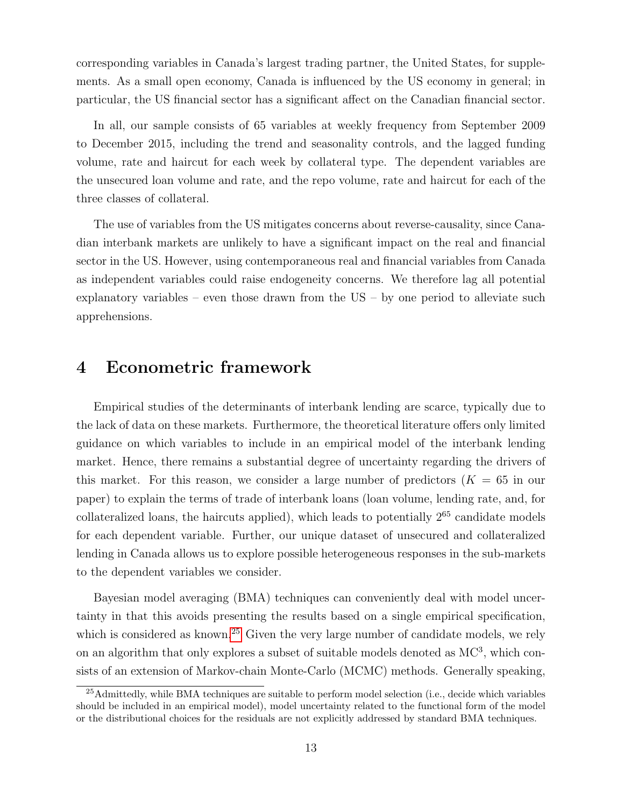corresponding variables in Canada's largest trading partner, the United States, for supplements. As a small open economy, Canada is influenced by the US economy in general; in particular, the US financial sector has a significant affect on the Canadian financial sector.

In all, our sample consists of 65 variables at weekly frequency from September 2009 to December 2015, including the trend and seasonality controls, and the lagged funding volume, rate and haircut for each week by collateral type. The dependent variables are the unsecured loan volume and rate, and the repo volume, rate and haircut for each of the three classes of collateral.

The use of variables from the US mitigates concerns about reverse-causality, since Canadian interbank markets are unlikely to have a significant impact on the real and financial sector in the US. However, using contemporaneous real and financial variables from Canada as independent variables could raise endogeneity concerns. We therefore lag all potential explanatory variables – even those drawn from the US – by one period to alleviate such apprehensions.

# 4 Econometric framework

Empirical studies of the determinants of interbank lending are scarce, typically due to the lack of data on these markets. Furthermore, the theoretical literature offers only limited guidance on which variables to include in an empirical model of the interbank lending market. Hence, there remains a substantial degree of uncertainty regarding the drivers of this market. For this reason, we consider a large number of predictors  $(K = 65$  in our paper) to explain the terms of trade of interbank loans (loan volume, lending rate, and, for collateralized loans, the haircuts applied), which leads to potentially  $2^{65}$  candidate models for each dependent variable. Further, our unique dataset of unsecured and collateralized lending in Canada allows us to explore possible heterogeneous responses in the sub-markets to the dependent variables we consider.

Bayesian model averaging (BMA) techniques can conveniently deal with model uncertainty in that this avoids presenting the results based on a single empirical specification, which is considered as known.<sup>[25](#page-15-0)</sup> Given the very large number of candidate models, we rely on an algorithm that only explores a subset of suitable models denoted as  $MC^3$ , which consists of an extension of Markov-chain Monte-Carlo (MCMC) methods. Generally speaking,

<span id="page-15-0"></span><sup>25</sup>Admittedly, while BMA techniques are suitable to perform model selection (i.e., decide which variables should be included in an empirical model), model uncertainty related to the functional form of the model or the distributional choices for the residuals are not explicitly addressed by standard BMA techniques.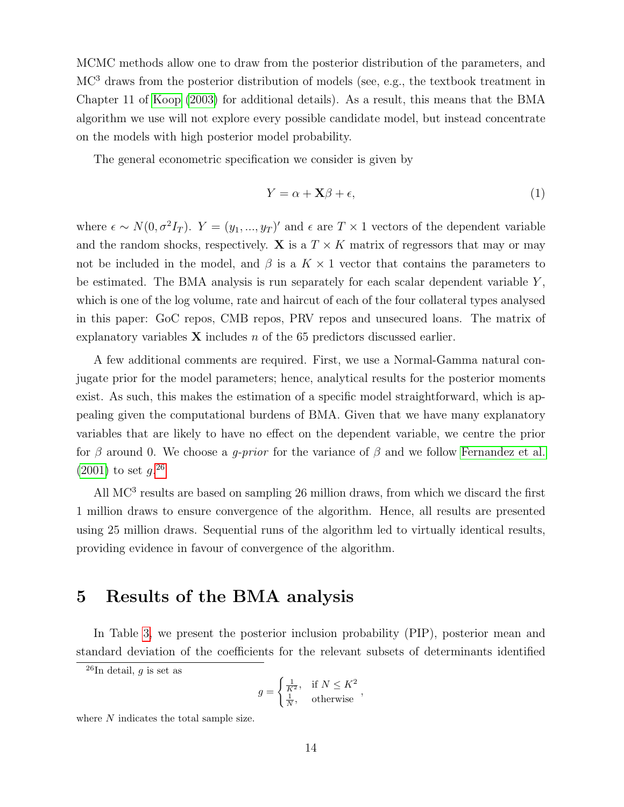MCMC methods allow one to draw from the posterior distribution of the parameters, and MC<sup>3</sup> draws from the posterior distribution of models (see, e.g., the textbook treatment in Chapter 11 of [Koop](#page-27-11) [\(2003\)](#page-27-11) for additional details). As a result, this means that the BMA algorithm we use will not explore every possible candidate model, but instead concentrate on the models with high posterior model probability.

The general econometric specification we consider is given by

$$
Y = \alpha + \mathbf{X}\beta + \epsilon,\tag{1}
$$

where  $\epsilon \sim N(0, \sigma^2 I_T)$ .  $Y = (y_1, ..., y_T)$  and  $\epsilon$  are  $T \times 1$  vectors of the dependent variable and the random shocks, respectively.  $X$  is a  $T \times K$  matrix of regressors that may or may not be included in the model, and  $\beta$  is a  $K \times 1$  vector that contains the parameters to be estimated. The BMA analysis is run separately for each scalar dependent variable  $Y$ , which is one of the log volume, rate and haircut of each of the four collateral types analysed in this paper: GoC repos, CMB repos, PRV repos and unsecured loans. The matrix of explanatory variables  $X$  includes n of the 65 predictors discussed earlier.

A few additional comments are required. First, we use a Normal-Gamma natural conjugate prior for the model parameters; hence, analytical results for the posterior moments exist. As such, this makes the estimation of a specific model straightforward, which is appealing given the computational burdens of BMA. Given that we have many explanatory variables that are likely to have no effect on the dependent variable, we centre the prior for  $\beta$  around 0. We choose a *q-prior* for the variance of  $\beta$  and we follow [Fernandez et al.](#page-26-3)  $(2001)$  to set  $g^{26}$  $g^{26}$  $g^{26}$ 

All  $MC<sup>3</sup>$  results are based on sampling 26 million draws, from which we discard the first 1 million draws to ensure convergence of the algorithm. Hence, all results are presented using 25 million draws. Sequential runs of the algorithm led to virtually identical results, providing evidence in favour of convergence of the algorithm.

# 5 Results of the BMA analysis

In Table [3,](#page-40-0) we present the posterior inclusion probability (PIP), posterior mean and standard deviation of the coefficients for the relevant subsets of determinants identified

<span id="page-16-0"></span> $^{26}$ In detail, g is set as

$$
g = \begin{cases} \frac{1}{K^2}, & \text{if } N \leq K^2\\ \frac{1}{N}, & \text{otherwise} \end{cases}
$$

where  $N$  indicates the total sample size.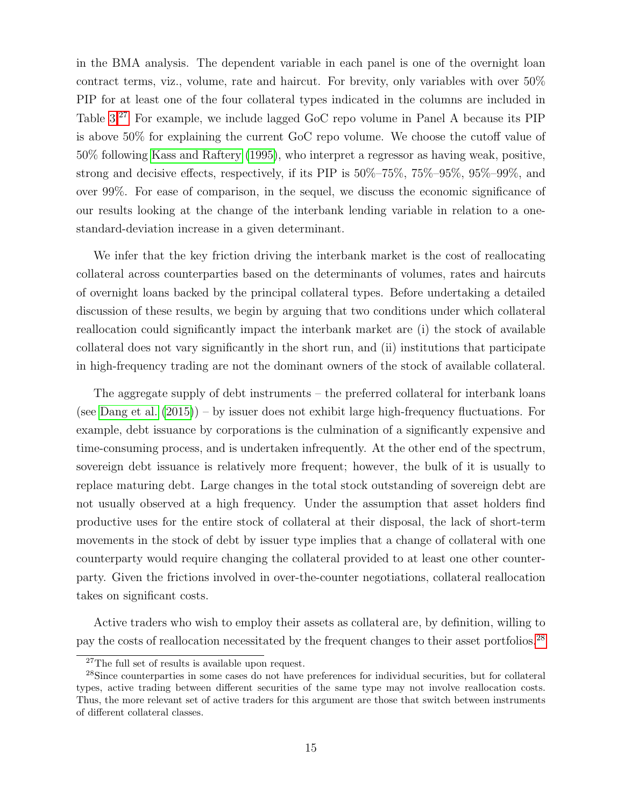in the BMA analysis. The dependent variable in each panel is one of the overnight loan contract terms, viz., volume, rate and haircut. For brevity, only variables with over 50% PIP for at least one of the four collateral types indicated in the columns are included in Table [3.](#page-40-0)[27](#page-17-0) For example, we include lagged GoC repo volume in Panel A because its PIP is above 50% for explaining the current GoC repo volume. We choose the cutoff value of 50% following [Kass and Raftery](#page-27-3) [\(1995\)](#page-27-3), who interpret a regressor as having weak, positive, strong and decisive effects, respectively, if its PIP is 50%–75%, 75%–95%, 95%–99%, and over 99%. For ease of comparison, in the sequel, we discuss the economic significance of our results looking at the change of the interbank lending variable in relation to a onestandard-deviation increase in a given determinant.

We infer that the key friction driving the interbank market is the cost of reallocating collateral across counterparties based on the determinants of volumes, rates and haircuts of overnight loans backed by the principal collateral types. Before undertaking a detailed discussion of these results, we begin by arguing that two conditions under which collateral reallocation could significantly impact the interbank market are (i) the stock of available collateral does not vary significantly in the short run, and (ii) institutions that participate in high-frequency trading are not the dominant owners of the stock of available collateral.

The aggregate supply of debt instruments – the preferred collateral for interbank loans (see [Dang et al.](#page-26-12) [\(2015\)](#page-26-12)) – by issuer does not exhibit large high-frequency fluctuations. For example, debt issuance by corporations is the culmination of a significantly expensive and time-consuming process, and is undertaken infrequently. At the other end of the spectrum, sovereign debt issuance is relatively more frequent; however, the bulk of it is usually to replace maturing debt. Large changes in the total stock outstanding of sovereign debt are not usually observed at a high frequency. Under the assumption that asset holders find productive uses for the entire stock of collateral at their disposal, the lack of short-term movements in the stock of debt by issuer type implies that a change of collateral with one counterparty would require changing the collateral provided to at least one other counterparty. Given the frictions involved in over-the-counter negotiations, collateral reallocation takes on significant costs.

Active traders who wish to employ their assets as collateral are, by definition, willing to pay the costs of reallocation necessitated by the frequent changes to their asset portfolios.[28](#page-17-1)

<span id="page-17-1"></span><span id="page-17-0"></span><sup>27</sup>The full set of results is available upon request.

<sup>28</sup>Since counterparties in some cases do not have preferences for individual securities, but for collateral types, active trading between different securities of the same type may not involve reallocation costs. Thus, the more relevant set of active traders for this argument are those that switch between instruments of different collateral classes.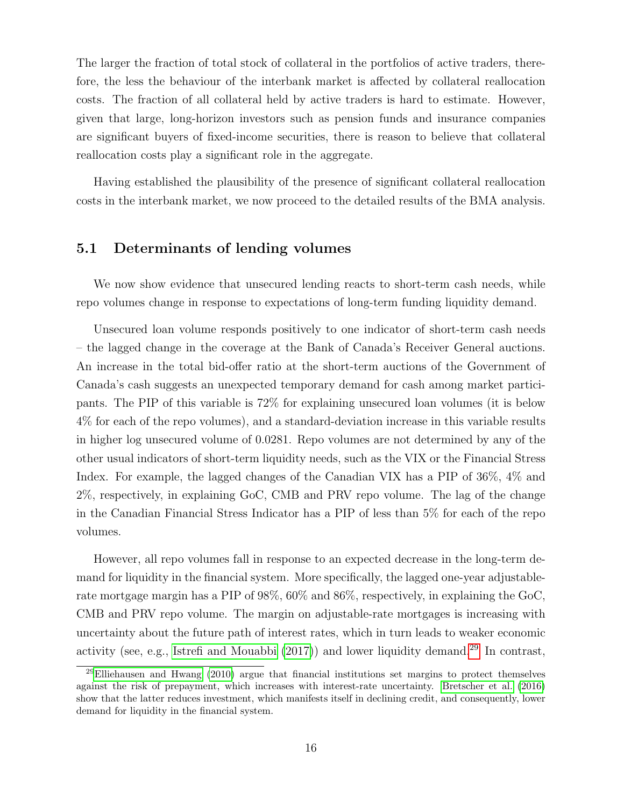The larger the fraction of total stock of collateral in the portfolios of active traders, therefore, the less the behaviour of the interbank market is affected by collateral reallocation costs. The fraction of all collateral held by active traders is hard to estimate. However, given that large, long-horizon investors such as pension funds and insurance companies are significant buyers of fixed-income securities, there is reason to believe that collateral reallocation costs play a significant role in the aggregate.

Having established the plausibility of the presence of significant collateral reallocation costs in the interbank market, we now proceed to the detailed results of the BMA analysis.

#### 5.1 Determinants of lending volumes

We now show evidence that unsecured lending reacts to short-term cash needs, while repo volumes change in response to expectations of long-term funding liquidity demand.

Unsecured loan volume responds positively to one indicator of short-term cash needs – the lagged change in the coverage at the Bank of Canada's Receiver General auctions. An increase in the total bid-offer ratio at the short-term auctions of the Government of Canada's cash suggests an unexpected temporary demand for cash among market participants. The PIP of this variable is 72% for explaining unsecured loan volumes (it is below 4% for each of the repo volumes), and a standard-deviation increase in this variable results in higher log unsecured volume of 0.0281. Repo volumes are not determined by any of the other usual indicators of short-term liquidity needs, such as the VIX or the Financial Stress Index. For example, the lagged changes of the Canadian VIX has a PIP of 36%, 4% and 2%, respectively, in explaining GoC, CMB and PRV repo volume. The lag of the change in the Canadian Financial Stress Indicator has a PIP of less than 5% for each of the repo volumes.

However, all repo volumes fall in response to an expected decrease in the long-term demand for liquidity in the financial system. More specifically, the lagged one-year adjustablerate mortgage margin has a PIP of 98%, 60% and 86%, respectively, in explaining the GoC, CMB and PRV repo volume. The margin on adjustable-rate mortgages is increasing with uncertainty about the future path of interest rates, which in turn leads to weaker economic activity (see, e.g., [Istrefi and Mouabbi](#page-27-12)  $(2017)$ ) and lower liquidity demand.<sup>[29](#page-18-0)</sup> In contrast,

<span id="page-18-0"></span><sup>&</sup>lt;sup>29</sup>[Elliehausen and Hwang](#page-26-13) [\(2010\)](#page-26-13) argue that financial institutions set margins to protect themselves against the risk of prepayment, which increases with interest-rate uncertainty. [Bretscher et al.](#page-25-12) [\(2016\)](#page-25-12) show that the latter reduces investment, which manifests itself in declining credit, and consequently, lower demand for liquidity in the financial system.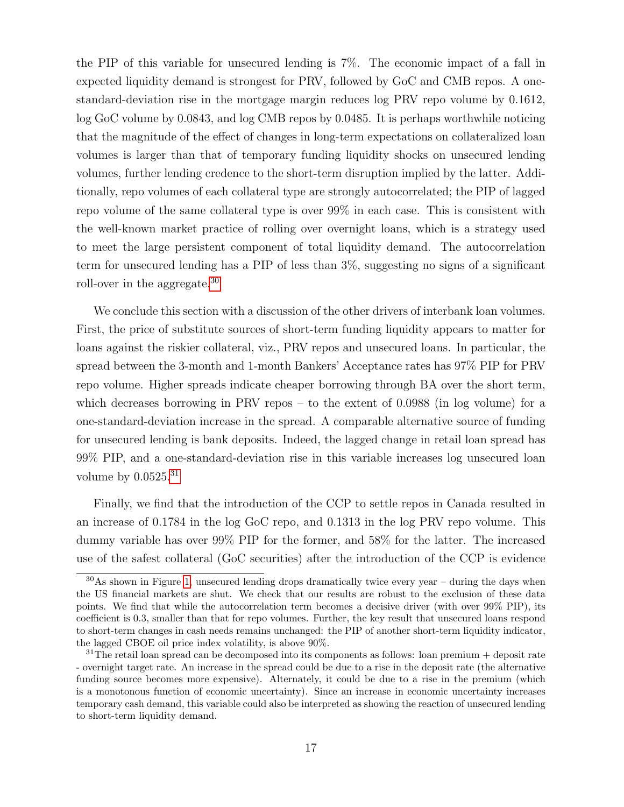the PIP of this variable for unsecured lending is 7%. The economic impact of a fall in expected liquidity demand is strongest for PRV, followed by GoC and CMB repos. A onestandard-deviation rise in the mortgage margin reduces log PRV repo volume by 0.1612, log GoC volume by 0.0843, and log CMB repos by 0.0485. It is perhaps worthwhile noticing that the magnitude of the effect of changes in long-term expectations on collateralized loan volumes is larger than that of temporary funding liquidity shocks on unsecured lending volumes, further lending credence to the short-term disruption implied by the latter. Additionally, repo volumes of each collateral type are strongly autocorrelated; the PIP of lagged repo volume of the same collateral type is over 99% in each case. This is consistent with the well-known market practice of rolling over overnight loans, which is a strategy used to meet the large persistent component of total liquidity demand. The autocorrelation term for unsecured lending has a PIP of less than 3%, suggesting no signs of a significant roll-over in the aggregate.[30](#page-19-0)

We conclude this section with a discussion of the other drivers of interbank loan volumes. First, the price of substitute sources of short-term funding liquidity appears to matter for loans against the riskier collateral, viz., PRV repos and unsecured loans. In particular, the spread between the 3-month and 1-month Bankers' Acceptance rates has 97% PIP for PRV repo volume. Higher spreads indicate cheaper borrowing through BA over the short term, which decreases borrowing in PRV repos – to the extent of 0.0988 (in log volume) for a one-standard-deviation increase in the spread. A comparable alternative source of funding for unsecured lending is bank deposits. Indeed, the lagged change in retail loan spread has 99% PIP, and a one-standard-deviation rise in this variable increases log unsecured loan volume by  $0.0525.^{31}$  $0.0525.^{31}$  $0.0525.^{31}$ 

Finally, we find that the introduction of the CCP to settle repos in Canada resulted in an increase of 0.1784 in the log GoC repo, and 0.1313 in the log PRV repo volume. This dummy variable has over 99% PIP for the former, and 58% for the latter. The increased use of the safest collateral (GoC securities) after the introduction of the CCP is evidence

<span id="page-19-0"></span><sup>30</sup>As shown in Figure [1,](#page-29-0) unsecured lending drops dramatically twice every year – during the days when the US financial markets are shut. We check that our results are robust to the exclusion of these data points. We find that while the autocorrelation term becomes a decisive driver (with over 99% PIP), its coefficient is 0.3, smaller than that for repo volumes. Further, the key result that unsecured loans respond to short-term changes in cash needs remains unchanged: the PIP of another short-term liquidity indicator, the lagged CBOE oil price index volatility, is above 90%.

<span id="page-19-1"></span> $31$ The retail loan spread can be decomposed into its components as follows: loan premium + deposit rate - overnight target rate. An increase in the spread could be due to a rise in the deposit rate (the alternative funding source becomes more expensive). Alternately, it could be due to a rise in the premium (which is a monotonous function of economic uncertainty). Since an increase in economic uncertainty increases temporary cash demand, this variable could also be interpreted as showing the reaction of unsecured lending to short-term liquidity demand.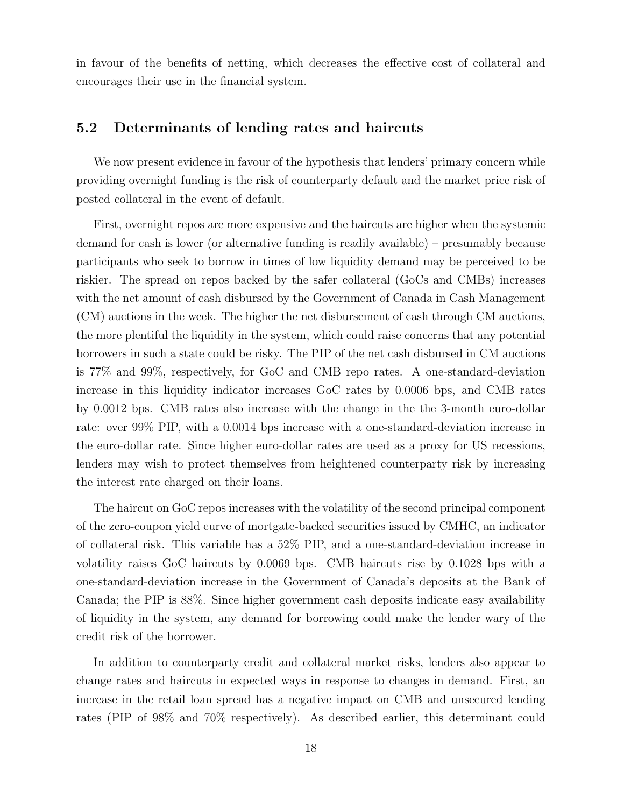in favour of the benefits of netting, which decreases the effective cost of collateral and encourages their use in the financial system.

#### 5.2 Determinants of lending rates and haircuts

We now present evidence in favour of the hypothesis that lenders' primary concern while providing overnight funding is the risk of counterparty default and the market price risk of posted collateral in the event of default.

First, overnight repos are more expensive and the haircuts are higher when the systemic demand for cash is lower (or alternative funding is readily available) – presumably because participants who seek to borrow in times of low liquidity demand may be perceived to be riskier. The spread on repos backed by the safer collateral (GoCs and CMBs) increases with the net amount of cash disbursed by the Government of Canada in Cash Management (CM) auctions in the week. The higher the net disbursement of cash through CM auctions, the more plentiful the liquidity in the system, which could raise concerns that any potential borrowers in such a state could be risky. The PIP of the net cash disbursed in CM auctions is 77% and 99%, respectively, for GoC and CMB repo rates. A one-standard-deviation increase in this liquidity indicator increases GoC rates by 0.0006 bps, and CMB rates by 0.0012 bps. CMB rates also increase with the change in the the 3-month euro-dollar rate: over 99% PIP, with a 0.0014 bps increase with a one-standard-deviation increase in the euro-dollar rate. Since higher euro-dollar rates are used as a proxy for US recessions, lenders may wish to protect themselves from heightened counterparty risk by increasing the interest rate charged on their loans.

The haircut on GoC repos increases with the volatility of the second principal component of the zero-coupon yield curve of mortgate-backed securities issued by CMHC, an indicator of collateral risk. This variable has a 52% PIP, and a one-standard-deviation increase in volatility raises GoC haircuts by 0.0069 bps. CMB haircuts rise by 0.1028 bps with a one-standard-deviation increase in the Government of Canada's deposits at the Bank of Canada; the PIP is 88%. Since higher government cash deposits indicate easy availability of liquidity in the system, any demand for borrowing could make the lender wary of the credit risk of the borrower.

In addition to counterparty credit and collateral market risks, lenders also appear to change rates and haircuts in expected ways in response to changes in demand. First, an increase in the retail loan spread has a negative impact on CMB and unsecured lending rates (PIP of 98% and 70% respectively). As described earlier, this determinant could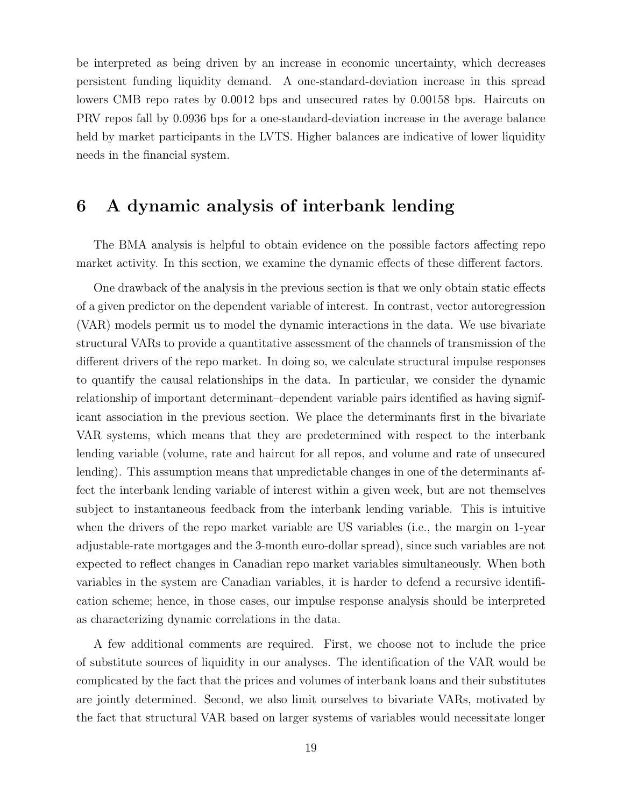be interpreted as being driven by an increase in economic uncertainty, which decreases persistent funding liquidity demand. A one-standard-deviation increase in this spread lowers CMB repo rates by 0.0012 bps and unsecured rates by 0.00158 bps. Haircuts on PRV repos fall by 0.0936 bps for a one-standard-deviation increase in the average balance held by market participants in the LVTS. Higher balances are indicative of lower liquidity needs in the financial system.

# 6 A dynamic analysis of interbank lending

The BMA analysis is helpful to obtain evidence on the possible factors affecting repo market activity. In this section, we examine the dynamic effects of these different factors.

One drawback of the analysis in the previous section is that we only obtain static effects of a given predictor on the dependent variable of interest. In contrast, vector autoregression (VAR) models permit us to model the dynamic interactions in the data. We use bivariate structural VARs to provide a quantitative assessment of the channels of transmission of the different drivers of the repo market. In doing so, we calculate structural impulse responses to quantify the causal relationships in the data. In particular, we consider the dynamic relationship of important determinant–dependent variable pairs identified as having significant association in the previous section. We place the determinants first in the bivariate VAR systems, which means that they are predetermined with respect to the interbank lending variable (volume, rate and haircut for all repos, and volume and rate of unsecured lending). This assumption means that unpredictable changes in one of the determinants affect the interbank lending variable of interest within a given week, but are not themselves subject to instantaneous feedback from the interbank lending variable. This is intuitive when the drivers of the repo market variable are US variables (i.e., the margin on 1-year adjustable-rate mortgages and the 3-month euro-dollar spread), since such variables are not expected to reflect changes in Canadian repo market variables simultaneously. When both variables in the system are Canadian variables, it is harder to defend a recursive identification scheme; hence, in those cases, our impulse response analysis should be interpreted as characterizing dynamic correlations in the data.

A few additional comments are required. First, we choose not to include the price of substitute sources of liquidity in our analyses. The identification of the VAR would be complicated by the fact that the prices and volumes of interbank loans and their substitutes are jointly determined. Second, we also limit ourselves to bivariate VARs, motivated by the fact that structural VAR based on larger systems of variables would necessitate longer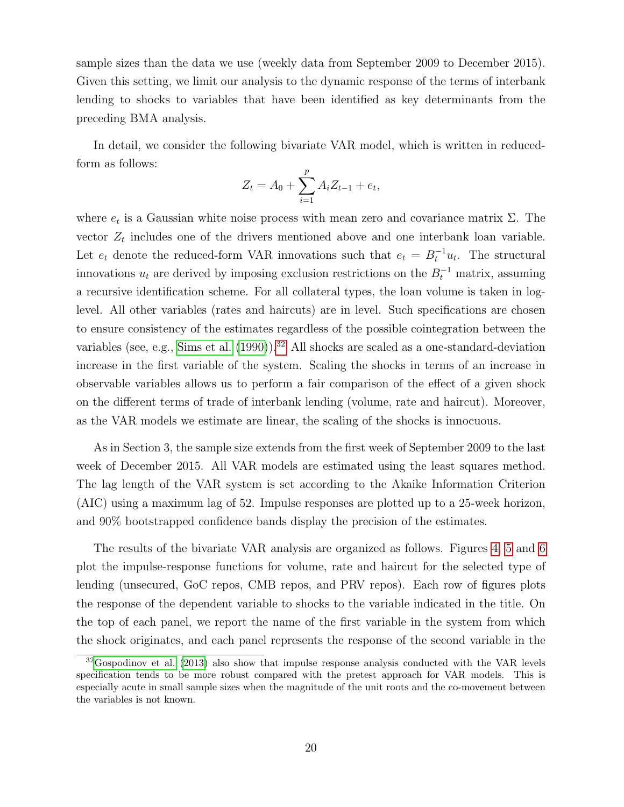sample sizes than the data we use (weekly data from September 2009 to December 2015). Given this setting, we limit our analysis to the dynamic response of the terms of interbank lending to shocks to variables that have been identified as key determinants from the preceding BMA analysis.

In detail, we consider the following bivariate VAR model, which is written in reducedform as follows:

$$
Z_t = A_0 + \sum_{i=1}^p A_i Z_{t-1} + e_t,
$$

where  $e_t$  is a Gaussian white noise process with mean zero and covariance matrix  $\Sigma$ . The vector  $Z_t$  includes one of the drivers mentioned above and one interbank loan variable. Let  $e_t$  denote the reduced-form VAR innovations such that  $e_t = B_t^{-1}u_t$ . The structural innovations  $u_t$  are derived by imposing exclusion restrictions on the  $B_t^{-1}$  matrix, assuming a recursive identification scheme. For all collateral types, the loan volume is taken in loglevel. All other variables (rates and haircuts) are in level. Such specifications are chosen to ensure consistency of the estimates regardless of the possible cointegration between the variables (see, e.g., [Sims et al.](#page-28-6) [\(1990\)](#page-28-6)).<sup>[32](#page-22-0)</sup> All shocks are scaled as a one-standard-deviation increase in the first variable of the system. Scaling the shocks in terms of an increase in observable variables allows us to perform a fair comparison of the effect of a given shock on the different terms of trade of interbank lending (volume, rate and haircut). Moreover, as the VAR models we estimate are linear, the scaling of the shocks is innocuous.

As in Section 3, the sample size extends from the first week of September 2009 to the last week of December 2015. All VAR models are estimated using the least squares method. The lag length of the VAR system is set according to the Akaike Information Criterion (AIC) using a maximum lag of 52. Impulse responses are plotted up to a 25-week horizon, and 90% bootstrapped confidence bands display the precision of the estimates.

The results of the bivariate VAR analysis are organized as follows. Figures [4,](#page-32-0) [5](#page-33-0) and [6](#page-34-0) plot the impulse-response functions for volume, rate and haircut for the selected type of lending (unsecured, GoC repos, CMB repos, and PRV repos). Each row of figures plots the response of the dependent variable to shocks to the variable indicated in the title. On the top of each panel, we report the name of the first variable in the system from which the shock originates, and each panel represents the response of the second variable in the

<span id="page-22-0"></span><sup>&</sup>lt;sup>32</sup>[Gospodinov et al.](#page-27-13) [\(2013\)](#page-27-13) also show that impulse response analysis conducted with the VAR levels specification tends to be more robust compared with the pretest approach for VAR models. This is especially acute in small sample sizes when the magnitude of the unit roots and the co-movement between the variables is not known.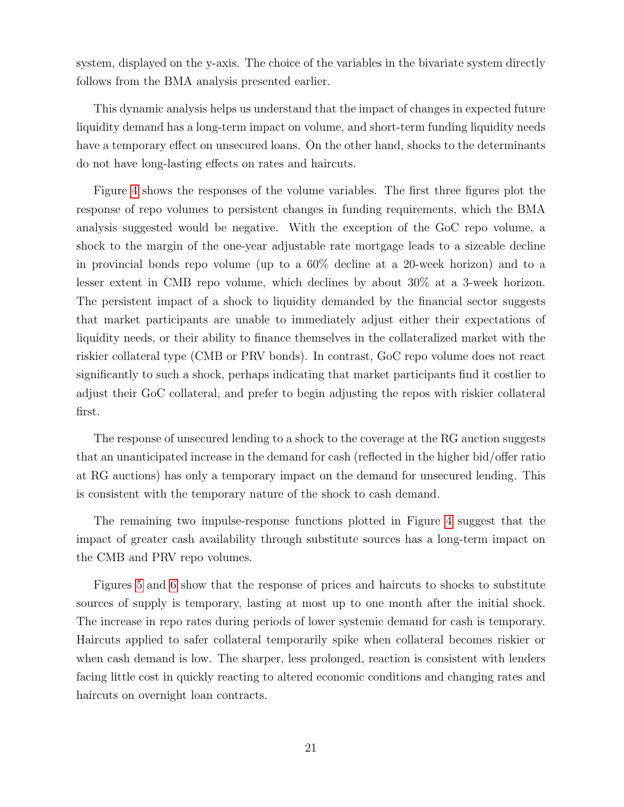system, displayed on the y-axis. The choice of the variables in the bivariate system directly follows from the BMA analysis presented earlier.

This dynamic analysis helps us understand that the impact of changes in expected future liquidity demand has a long-term impact on volume, and short-term funding liquidity needs have a temporary effect on unsecured loans. On the other hand, shocks to the determinants do not have long-lasting effects on rates and haircuts.

Figure [4](#page-32-0) shows the responses of the volume variables. The first three figures plot the response of repo volumes to persistent changes in funding requirements, which the BMA analysis suggested would be negative. With the exception of the GoC repo volume, a shock to the margin of the one-year adjustable rate mortgage leads to a sizeable decline in provincial bonds repo volume (up to a 60% decline at a 20-week horizon) and to a lesser extent in CMB repo volume, which declines by about 30% at a 3-week horizon. The persistent impact of a shock to liquidity demanded by the financial sector suggests that market participants are unable to immediately adjust either their expectations of liquidity needs, or their ability to finance themselves in the collateralized market with the riskier collateral type (CMB or PRV bonds). In contrast, GoC repo volume does not react significantly to such a shock, perhaps indicating that market participants find it costlier to adjust their GoC collateral, and prefer to begin adjusting the repos with riskier collateral first.

The response of unsecured lending to a shock to the coverage at the RG auction suggests that an unanticipated increase in the demand for cash (reflected in the higher bid/offer ratio at RG auctions) has only a temporary impact on the demand for unsecured lending. This is consistent with the temporary nature of the shock to cash demand.

The remaining two impulse-response functions plotted in Figure [4](#page-32-0) suggest that the impact of greater cash availability through substitute sources has a long-term impact on the CMB and PRV repo volumes.

Figures [5](#page-33-0) and [6](#page-34-0) show that the response of prices and haircuts to shocks to substitute sources of supply is temporary, lasting at most up to one month after the initial shock. The increase in repo rates during periods of lower systemic demand for cash is temporary. Haircuts applied to safer collateral temporarily spike when collateral becomes riskier or when cash demand is low. The sharper, less prolonged, reaction is consistent with lenders facing little cost in quickly reacting to altered economic conditions and changing rates and haircuts on overnight loan contracts.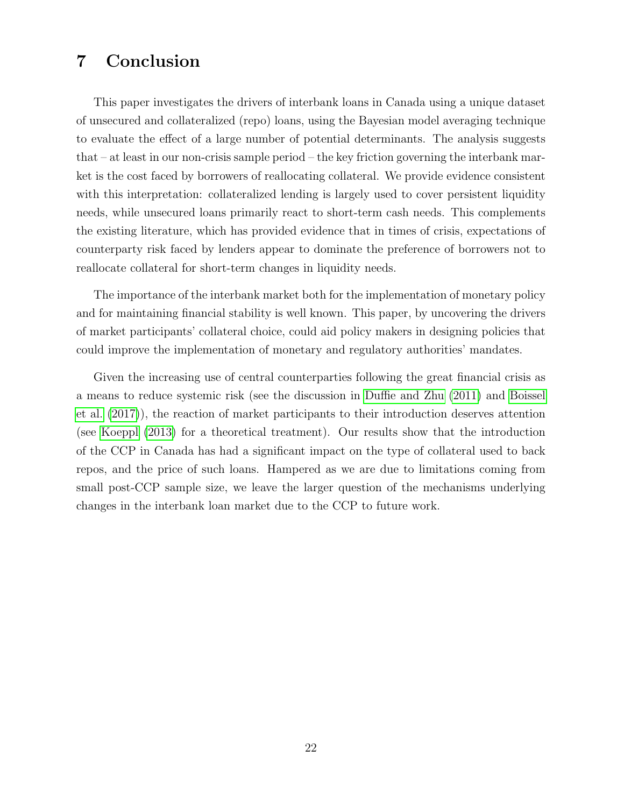# 7 Conclusion

This paper investigates the drivers of interbank loans in Canada using a unique dataset of unsecured and collateralized (repo) loans, using the Bayesian model averaging technique to evaluate the effect of a large number of potential determinants. The analysis suggests that – at least in our non-crisis sample period – the key friction governing the interbank market is the cost faced by borrowers of reallocating collateral. We provide evidence consistent with this interpretation: collateralized lending is largely used to cover persistent liquidity needs, while unsecured loans primarily react to short-term cash needs. This complements the existing literature, which has provided evidence that in times of crisis, expectations of counterparty risk faced by lenders appear to dominate the preference of borrowers not to reallocate collateral for short-term changes in liquidity needs.

The importance of the interbank market both for the implementation of monetary policy and for maintaining financial stability is well known. This paper, by uncovering the drivers of market participants' collateral choice, could aid policy makers in designing policies that could improve the implementation of monetary and regulatory authorities' mandates.

Given the increasing use of central counterparties following the great financial crisis as a means to reduce systemic risk (see the discussion in [Duffie and Zhu](#page-26-14) [\(2011\)](#page-26-14) and [Boissel](#page-25-2) [et al.](#page-25-2) [\(2017\)](#page-25-2)), the reaction of market participants to their introduction deserves attention (see [Koeppl](#page-27-14) [\(2013\)](#page-27-14) for a theoretical treatment). Our results show that the introduction of the CCP in Canada has had a significant impact on the type of collateral used to back repos, and the price of such loans. Hampered as we are due to limitations coming from small post-CCP sample size, we leave the larger question of the mechanisms underlying changes in the interbank loan market due to the CCP to future work.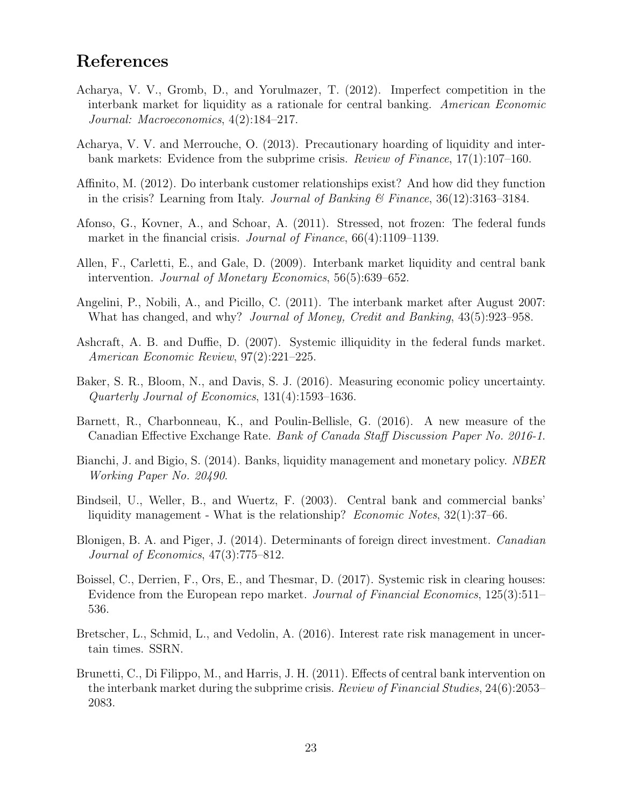# References

- <span id="page-25-3"></span>Acharya, V. V., Gromb, D., and Yorulmazer, T. (2012). Imperfect competition in the interbank market for liquidity as a rationale for central banking. American Economic Journal: Macroeconomics, 4(2):184–217.
- <span id="page-25-5"></span>Acharya, V. V. and Merrouche, O. (2013). Precautionary hoarding of liquidity and interbank markets: Evidence from the subprime crisis. Review of Finance,  $17(1)$ :107-160.
- <span id="page-25-8"></span>Affinito, M. (2012). Do interbank customer relationships exist? And how did they function in the crisis? Learning from Italy. Journal of Banking & Finance,  $36(12):3163-3184$ .
- <span id="page-25-0"></span>Afonso, G., Kovner, A., and Schoar, A. (2011). Stressed, not frozen: The federal funds market in the financial crisis. *Journal of Finance*, 66(4):1109–1139.
- <span id="page-25-10"></span>Allen, F., Carletti, E., and Gale, D. (2009). Interbank market liquidity and central bank intervention. Journal of Monetary Economics, 56(5):639–652.
- <span id="page-25-1"></span>Angelini, P., Nobili, A., and Picillo, C. (2011). The interbank market after August 2007: What has changed, and why? *Journal of Money, Credit and Banking*, 43(5):923–958.
- <span id="page-25-7"></span>Ashcraft, A. B. and Duffie, D. (2007). Systemic illiquidity in the federal funds market. American Economic Review, 97(2):221–225.
- <span id="page-25-13"></span>Baker, S. R., Bloom, N., and Davis, S. J. (2016). Measuring economic policy uncertainty. Quarterly Journal of Economics, 131(4):1593–1636.
- <span id="page-25-14"></span>Barnett, R., Charbonneau, K., and Poulin-Bellisle, G. (2016). A new measure of the Canadian Effective Exchange Rate. Bank of Canada Staff Discussion Paper No. 2016-1.
- <span id="page-25-4"></span>Bianchi, J. and Bigio, S. (2014). Banks, liquidity management and monetary policy. NBER Working Paper No. 20490.
- <span id="page-25-11"></span>Bindseil, U., Weller, B., and Wuertz, F. (2003). Central bank and commercial banks' liquidity management - What is the relationship? Economic Notes, 32(1):37–66.
- <span id="page-25-6"></span>Blonigen, B. A. and Piger, J. (2014). Determinants of foreign direct investment. Canadian Journal of Economics, 47(3):775–812.
- <span id="page-25-2"></span>Boissel, C., Derrien, F., Ors, E., and Thesmar, D. (2017). Systemic risk in clearing houses: Evidence from the European repo market. *Journal of Financial Economics*, 125(3):511– 536.
- <span id="page-25-12"></span>Bretscher, L., Schmid, L., and Vedolin, A. (2016). Interest rate risk management in uncertain times. SSRN.
- <span id="page-25-9"></span>Brunetti, C., Di Filippo, M., and Harris, J. H. (2011). Effects of central bank intervention on the interbank market during the subprime crisis. Review of Financial Studies, 24(6):2053– 2083.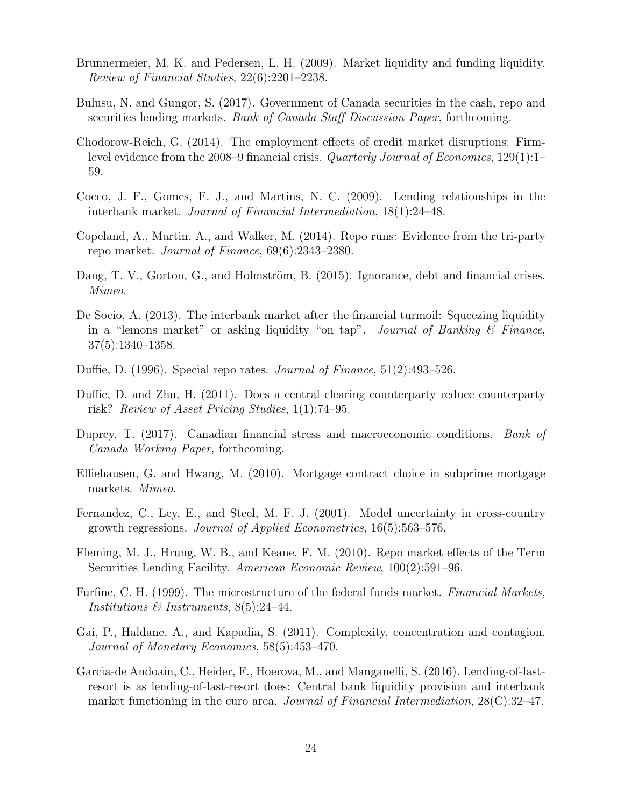- <span id="page-26-1"></span>Brunnermeier, M. K. and Pedersen, L. H. (2009). Market liquidity and funding liquidity. Review of Financial Studies, 22(6):2201–2238.
- <span id="page-26-10"></span>Bulusu, N. and Gungor, S. (2017). Government of Canada securities in the cash, repo and securities lending markets. Bank of Canada Staff Discussion Paper, forthcoming.
- <span id="page-26-0"></span>Chodorow-Reich, G. (2014). The employment effects of credit market disruptions: Firmlevel evidence from the 2008–9 financial crisis. Quarterly Journal of Economics, 129(1):1– 59.
- <span id="page-26-5"></span>Cocco, J. F., Gomes, F. J., and Martins, N. C. (2009). Lending relationships in the interbank market. Journal of Financial Intermediation, 18(1):24–48.
- <span id="page-26-4"></span>Copeland, A., Martin, A., and Walker, M. (2014). Repo runs: Evidence from the tri-party repo market. Journal of Finance, 69(6):2343–2380.
- <span id="page-26-12"></span>Dang, T. V., Gorton, G., and Holmström, B. (2015). Ignorance, debt and financial crises. Mimeo.
- <span id="page-26-6"></span>De Socio, A. (2013). The interbank market after the financial turmoil: Squeezing liquidity in a "lemons market" or asking liquidity "on tap". Journal of Banking  $\mathcal C$  Finance, 37(5):1340–1358.
- <span id="page-26-9"></span>Duffie, D. (1996). Special repo rates. Journal of Finance, 51(2):493–526.
- <span id="page-26-14"></span>Duffie, D. and Zhu, H. (2011). Does a central clearing counterparty reduce counterparty risk? Review of Asset Pricing Studies, 1(1):74–95.
- <span id="page-26-15"></span>Duprey, T. (2017). Canadian financial stress and macroeconomic conditions. Bank of Canada Working Paper, forthcoming.
- <span id="page-26-13"></span>Elliehausen, G. and Hwang, M. (2010). Mortgage contract choice in subprime mortgage markets. Mimeo.
- <span id="page-26-3"></span>Fernandez, C., Ley, E., and Steel, M. F. J. (2001). Model uncertainty in cross-country growth regressions. Journal of Applied Econometrics, 16(5):563–576.
- <span id="page-26-11"></span>Fleming, M. J., Hrung, W. B., and Keane, F. M. (2010). Repo market effects of the Term Securities Lending Facility. American Economic Review,  $100(2):591-96$ .
- <span id="page-26-8"></span>Furfine, C. H. (1999). The microstructure of the federal funds market. Financial Markets, Institutions & Instruments, 8(5):24-44.
- <span id="page-26-2"></span>Gai, P., Haldane, A., and Kapadia, S. (2011). Complexity, concentration and contagion. Journal of Monetary Economics, 58(5):453–470.
- <span id="page-26-7"></span>Garcia-de Andoain, C., Heider, F., Hoerova, M., and Manganelli, S. (2016). Lending-of-lastresort is as lending-of-last-resort does: Central bank liquidity provision and interbank market functioning in the euro area. *Journal of Financial Intermediation*, 28(C):32–47.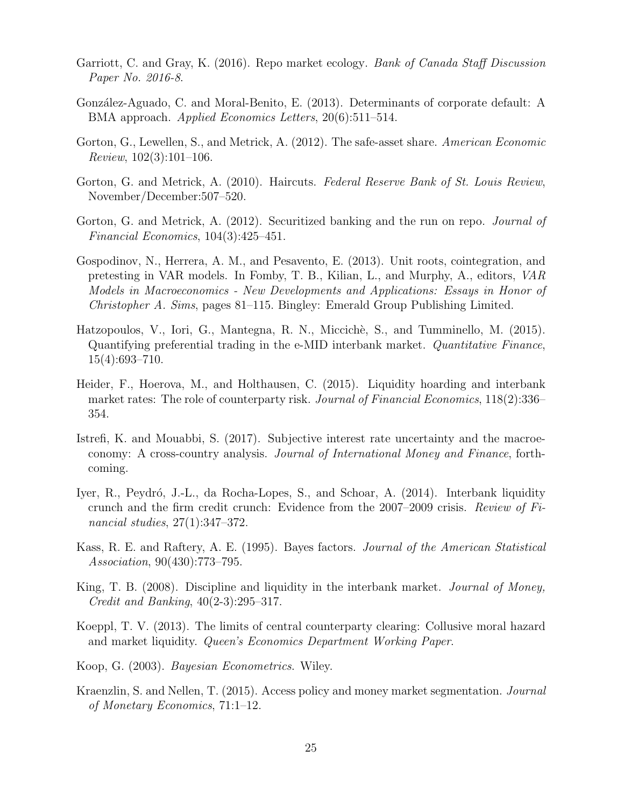- <span id="page-27-7"></span>Garriott, C. and Gray, K. (2016). Repo market ecology. *Bank of Canada Staff Discussion* Paper No. 2016-8.
- <span id="page-27-2"></span>González-Aguado, C. and Moral-Benito, E. (2013). Determinants of corporate default: A BMA approach. Applied Economics Letters, 20(6):511–514.
- <span id="page-27-8"></span>Gorton, G., Lewellen, S., and Metrick, A. (2012). The safe-asset share. American Economic Review, 102(3):101–106.
- <span id="page-27-1"></span>Gorton, G. and Metrick, A. (2010). Haircuts. Federal Reserve Bank of St. Louis Review, November/December:507–520.
- <span id="page-27-10"></span>Gorton, G. and Metrick, A. (2012). Securitized banking and the run on repo. *Journal of* Financial Economics, 104(3):425–451.
- <span id="page-27-13"></span>Gospodinov, N., Herrera, A. M., and Pesavento, E. (2013). Unit roots, cointegration, and pretesting in VAR models. In Fomby, T. B., Kilian, L., and Murphy, A., editors, VAR Models in Macroeconomics - New Developments and Applications: Essays in Honor of Christopher A. Sims, pages 81–115. Bingley: Emerald Group Publishing Limited.
- <span id="page-27-5"></span>Hatzopoulos, V., Iori, G., Mantegna, R. N., Miccichè, S., and Tumminello, M. (2015). Quantifying preferential trading in the e-MID interbank market. Quantitative Finance, 15(4):693–710.
- <span id="page-27-9"></span>Heider, F., Hoerova, M., and Holthausen, C. (2015). Liquidity hoarding and interbank market rates: The role of counterparty risk. Journal of Financial Economics, 118(2):336– 354.
- <span id="page-27-12"></span>Istrefi, K. and Mouabbi, S. (2017). Subjective interest rate uncertainty and the macroeconomy: A cross-country analysis. Journal of International Money and Finance, forthcoming.
- <span id="page-27-0"></span>Iyer, R., Peydró, J.-L., da Rocha-Lopes, S., and Schoar, A. (2014). Interbank liquidity crunch and the firm credit crunch: Evidence from the 2007–2009 crisis. Review of Financial studies, 27(1):347–372.
- <span id="page-27-3"></span>Kass, R. E. and Raftery, A. E. (1995). Bayes factors. Journal of the American Statistical Association, 90(430):773–795.
- <span id="page-27-4"></span>King, T. B. (2008). Discipline and liquidity in the interbank market. *Journal of Money*, Credit and Banking, 40(2-3):295–317.
- <span id="page-27-14"></span>Koeppl, T. V. (2013). The limits of central counterparty clearing: Collusive moral hazard and market liquidity. Queen's Economics Department Working Paper.
- <span id="page-27-11"></span>Koop, G. (2003). Bayesian Econometrics. Wiley.
- <span id="page-27-6"></span>Kraenzlin, S. and Nellen, T. (2015). Access policy and money market segmentation. Journal of Monetary Economics, 71:1–12.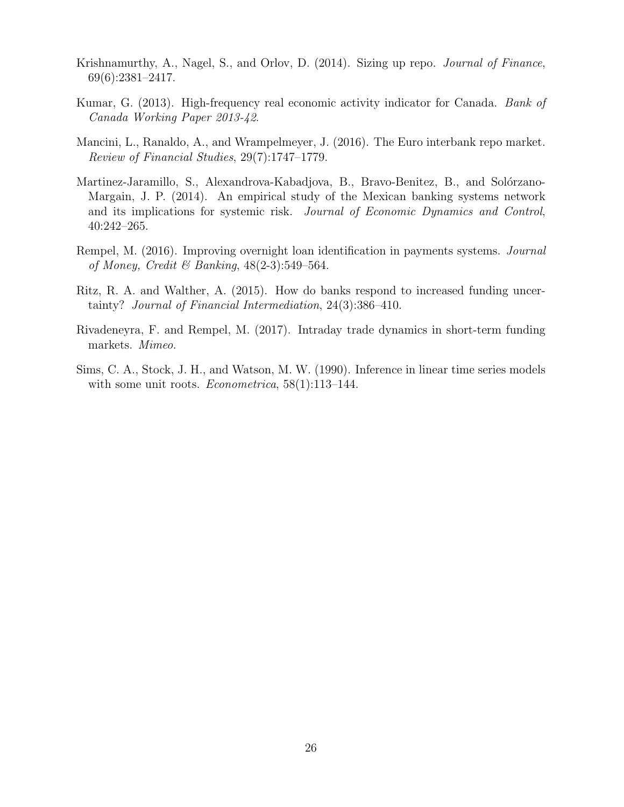- <span id="page-28-2"></span>Krishnamurthy, A., Nagel, S., and Orlov, D. (2014). Sizing up repo. *Journal of Finance*, 69(6):2381–2417.
- <span id="page-28-7"></span>Kumar, G. (2013). High-frequency real economic activity indicator for Canada. Bank of Canada Working Paper 2013-42.
- <span id="page-28-1"></span>Mancini, L., Ranaldo, A., and Wrampelmeyer, J. (2016). The Euro interbank repo market. Review of Financial Studies, 29(7):1747–1779.
- <span id="page-28-3"></span>Martinez-Jaramillo, S., Alexandrova-Kabadjova, B., Bravo-Benitez, B., and Solórzano-Margain, J. P. (2014). An empirical study of the Mexican banking systems network and its implications for systemic risk. Journal of Economic Dynamics and Control, 40:242–265.
- <span id="page-28-4"></span>Rempel, M. (2016). Improving overnight loan identification in payments systems. Journal of Money, Credit & Banking,  $48(2-3):549-564$ .
- <span id="page-28-0"></span>Ritz, R. A. and Walther, A. (2015). How do banks respond to increased funding uncertainty? Journal of Financial Intermediation, 24(3):386–410.
- <span id="page-28-5"></span>Rivadeneyra, F. and Rempel, M. (2017). Intraday trade dynamics in short-term funding markets. Mimeo.
- <span id="page-28-6"></span>Sims, C. A., Stock, J. H., and Watson, M. W. (1990). Inference in linear time series models with some unit roots. *Econometrica*,  $58(1):113-144$ .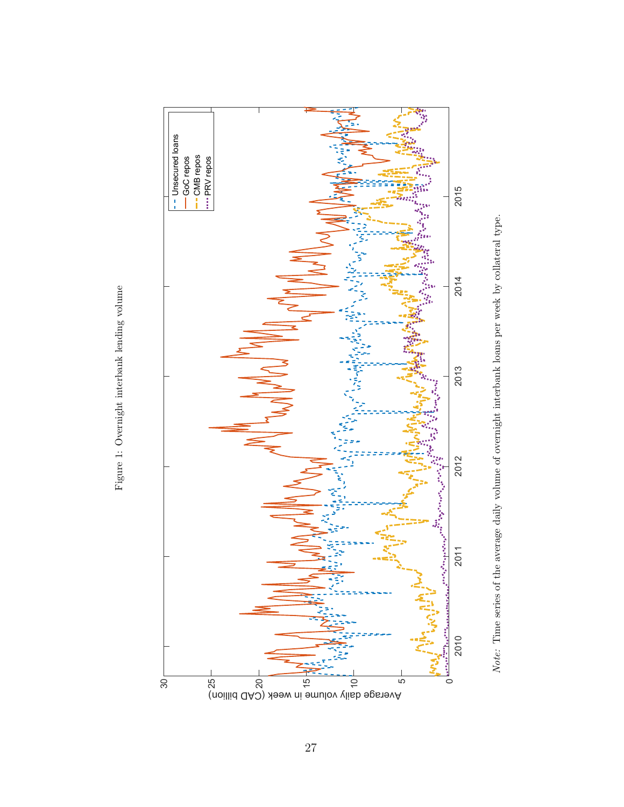<span id="page-29-0"></span>

Note: Time series of the average daily volume of overnight interbank loans per week by collateral type. Note: Time series of the average daily volume of overnight interbank loans per week by collateral type.

Figure 1: Overnight interbank lending volume Figure 1: Overnight interbank lending volume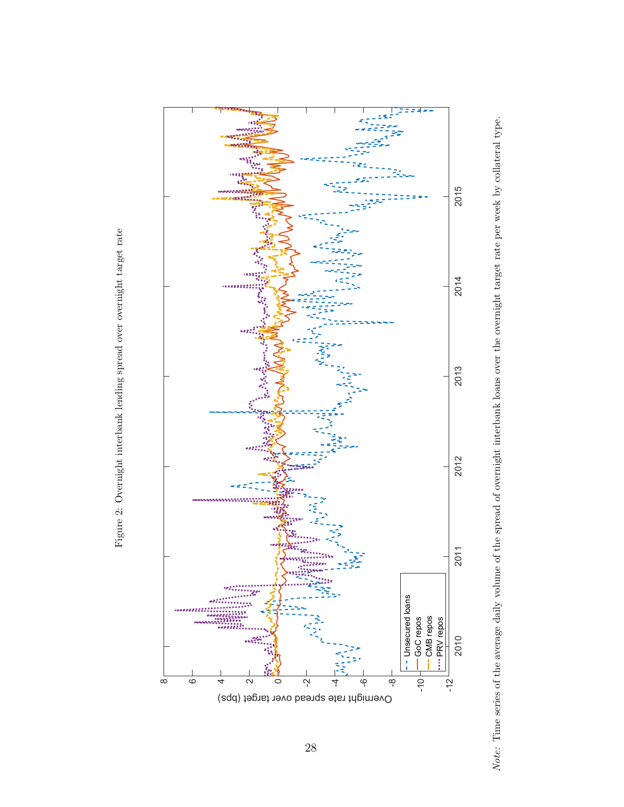<span id="page-30-0"></span>



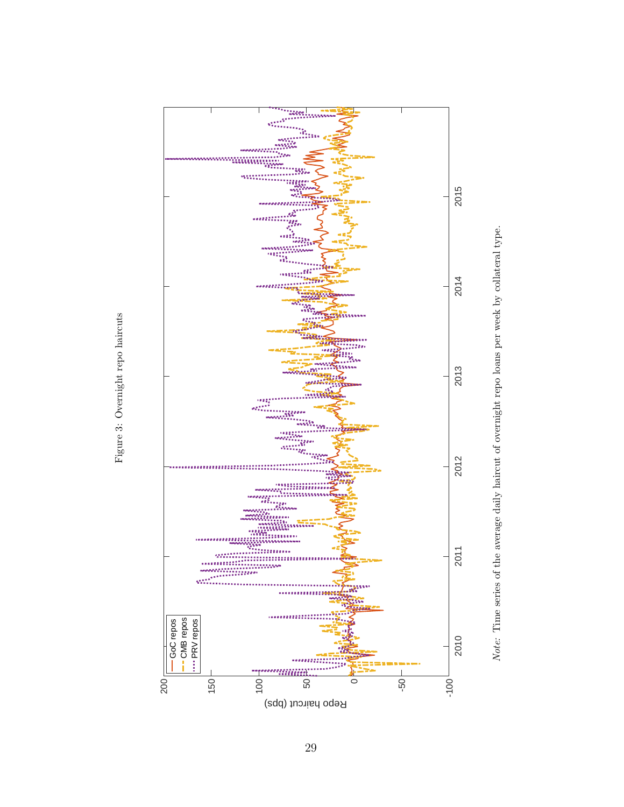<span id="page-31-0"></span>



Figure 3: Overnight repo haircuts Figure 3: Overnight repo haircuts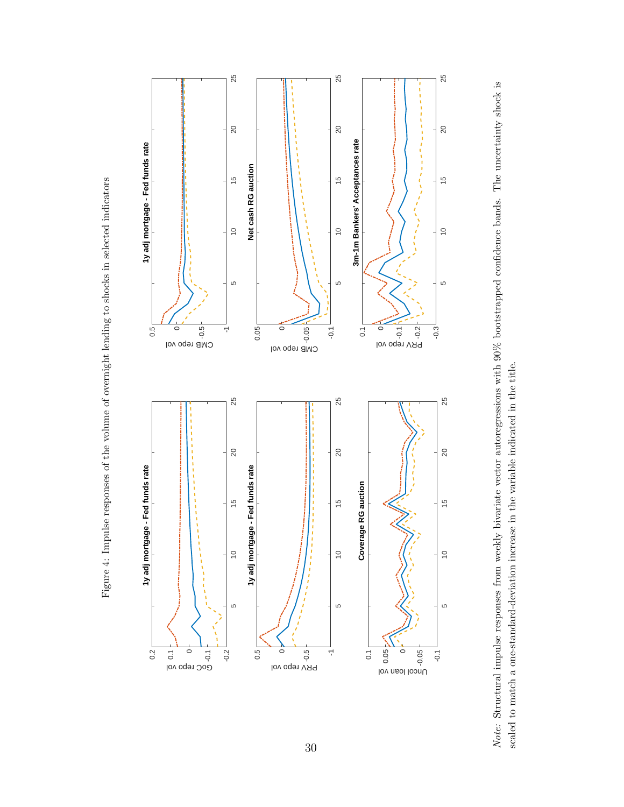<span id="page-32-0"></span>



Figure 4: Impulse responses of the volume of overnight lending to shocks in selected indicators Figure 4: Impulse responses of the volume of overnight lending to shocks in selected indicators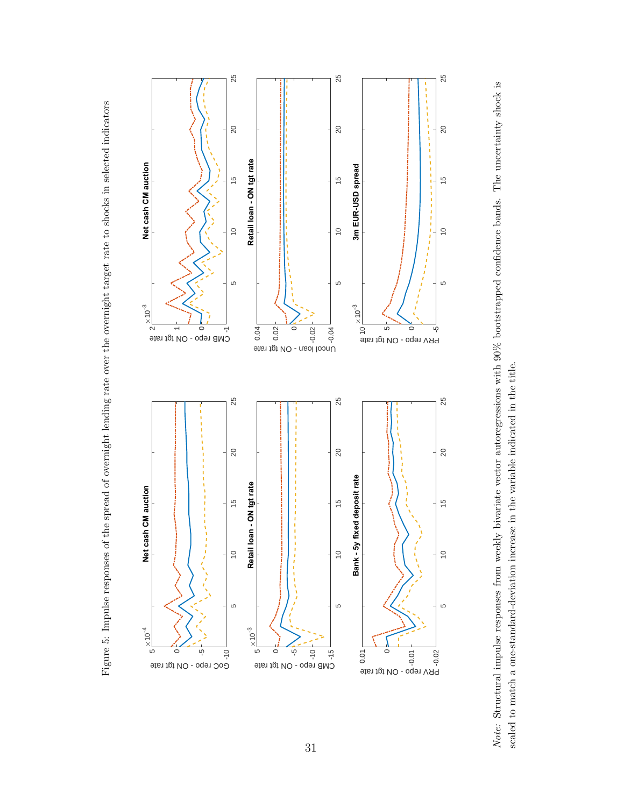<span id="page-33-0"></span>



Figure 5: Impulse responses of the spread of overnight lending rate over the overnight target rate to shocks in selected indicators Figure 5: Impulse responses of the spread of overnight lending rate over the overnight target rate to shocks in selected indicators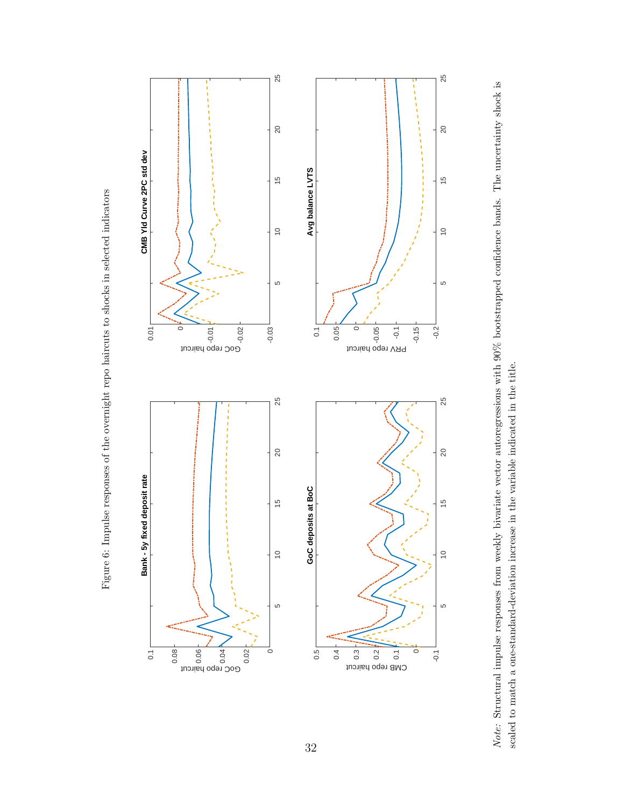Figure 6: Impulse responses of the overnight repo haircuts to shocks in selected indicators Figure 6: Impulse responses of the overnight repo haircuts to shocks in selected indicators

<span id="page-34-0"></span>

Note: Structural impulse responses from weekly bivariate vector autoregressions with 90% bootstrapped confidence bands. The uncertainty shock is Note: Structural impulse responses from weekly bivariate vector autoregressions with 90% bootstrapped confidence bands. The uncertainty shock is scaled to match a one-standard-deviation increase in the variable indicated in the title. scaled to match a one-standard-deviation increase in the variable indicated in the title.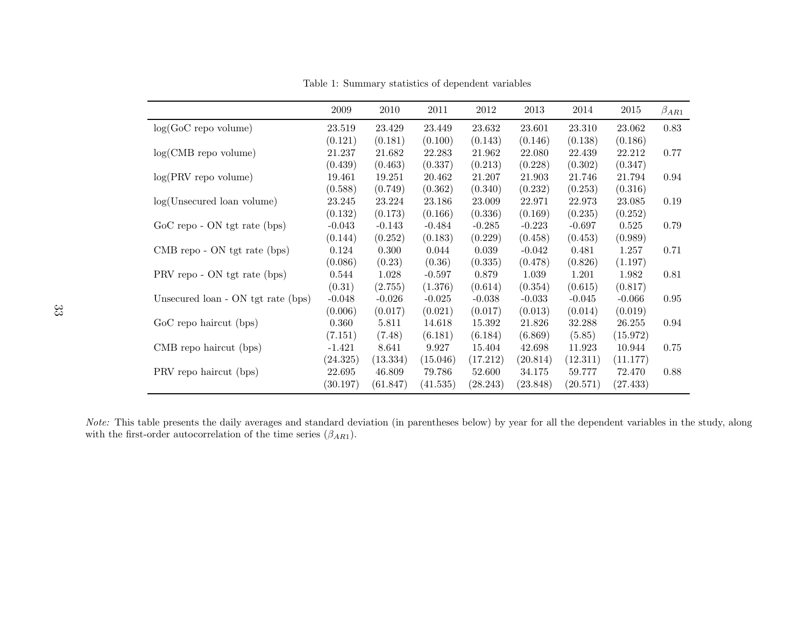|                                    | 2009     | 2010     | 2011     | 2012     | 2013     | 2014     | 2015     | $\beta_{AR1}$ |
|------------------------------------|----------|----------|----------|----------|----------|----------|----------|---------------|
| $log(GoC$ repo volume)             | 23.519   | 23.429   | 23.449   | 23.632   | 23.601   | 23.310   | 23.062   | 0.83          |
|                                    | (0.121)  | (0.181)  | (0.100)  | (0.143)  | (0.146)  | (0.138)  | (0.186)  |               |
| $log(CMB$ repo volume)             | 21.237   | 21.682   | 22.283   | 21.962   | 22.080   | 22.439   | 22.212   | 0.77          |
|                                    | (0.439)  | (0.463)  | (0.337)  | (0.213)  | (0.228)  | (0.302)  | (0.347)  |               |
| $log(PRV$ repo volume)             | 19.461   | 19.251   | 20.462   | 21.207   | 21.903   | 21.746   | 21.794   | 0.94          |
|                                    | (0.588)  | (0.749)  | (0.362)  | (0.340)  | (0.232)  | (0.253)  | (0.316)  |               |
| $log(U$ nsecured loan volume)      | 23.245   | 23.224   | 23.186   | 23.009   | 22.971   | 22.973   | 23.085   | 0.19          |
|                                    | (0.132)  | (0.173)  | (0.166)  | (0.336)  | (0.169)  | (0.235)  | (0.252)  |               |
| $GoC$ repo - ON tgt rate (bps)     | $-0.043$ | $-0.143$ | $-0.484$ | $-0.285$ | $-0.223$ | $-0.697$ | 0.525    | 0.79          |
|                                    | (0.144)  | (0.252)  | (0.183)  | (0.229)  | (0.458)  | (0.453)  | (0.989)  |               |
| CMB repo - ON tgt rate (bps)       | 0.124    | 0.300    | 0.044    | 0.039    | $-0.042$ | 0.481    | 1.257    | 0.71          |
|                                    | (0.086)  | (0.23)   | (0.36)   | (0.335)  | (0.478)  | (0.826)  | (1.197)  |               |
| PRV repo - ON tgt rate (bps)       | 0.544    | 1.028    | $-0.597$ | 0.879    | 1.039    | 1.201    | 1.982    | 0.81          |
|                                    | (0.31)   | (2.755)  | (1.376)  | (0.614)  | (0.354)  | (0.615)  | (0.817)  |               |
| Unsecured loan - ON tgt rate (bps) | $-0.048$ | $-0.026$ | $-0.025$ | $-0.038$ | $-0.033$ | $-0.045$ | $-0.066$ | 0.95          |
|                                    | (0.006)  | (0.017)  | (0.021)  | (0.017)  | (0.013)  | (0.014)  | (0.019)  |               |
| GoC repo haircut (bps)             | 0.360    | 5.811    | 14.618   | 15.392   | 21.826   | 32.288   | 26.255   | 0.94          |
|                                    | (7.151)  | (7.48)   | (6.181)  | (6.184)  | (6.869)  | (5.85)   | (15.972) |               |
| CMB repo haircut (bps)             | $-1.421$ | 8.641    | 9.927    | 15.404   | 42.698   | 11.923   | 10.944   | 0.75          |
|                                    | (24.325) | (13.334) | (15.046) | (17.212) | (20.814) | (12.311) | (11.177) |               |
| PRV repo haircut (bps)             | 22.695   | 46.809   | 79.786   | 52.600   | 34.175   | 59.777   | 72.470   | 0.88          |
|                                    | (30.197) | (61.847) | (41.535) | (28.243) | (23.848) | (20.571) | (27.433) |               |

Table 1: Summary statistics of dependent variables

<span id="page-35-0"></span>Note: This table presents the daily averages and standard deviation (in parentheses below) by year for all the dependent variables in the study, along with the first-order autocorrelation of the time series  $(\beta_{AR1})$ .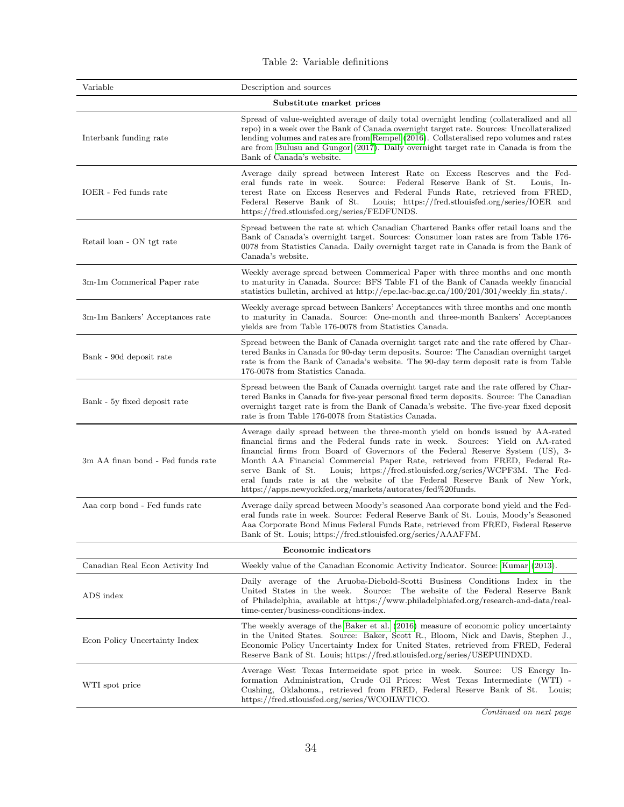<span id="page-36-1"></span>

| Table 2: Variable definitions |
|-------------------------------|
|-------------------------------|

<span id="page-36-0"></span>

| Variable                          | Description and sources                                                                                                                                                                                                                                                                                                                                                                                                                                                                                                                                         |
|-----------------------------------|-----------------------------------------------------------------------------------------------------------------------------------------------------------------------------------------------------------------------------------------------------------------------------------------------------------------------------------------------------------------------------------------------------------------------------------------------------------------------------------------------------------------------------------------------------------------|
|                                   | Substitute market prices                                                                                                                                                                                                                                                                                                                                                                                                                                                                                                                                        |
| Interbank funding rate            | Spread of value-weighted average of daily total overnight lending (collateralized and all<br>repo) in a week over the Bank of Canada overnight target rate. Sources: Uncollateralized<br>lending volumes and rates are from Rempel (2016). Collateralised repo volumes and rates<br>are from Bulusu and Gungor (2017). Daily overnight target rate in Canada is from the<br>Bank of Canada's website.                                                                                                                                                           |
| IOER - Fed funds rate             | Average daily spread between Interest Rate on Excess Reserves and the Fed-<br>Source:<br>Federal Reserve Bank of St.<br>Louis, In-<br>eral funds rate in week.<br>terest Rate on Excess Reserves and Federal Funds Rate, retrieved from FRED,<br>Federal Reserve Bank of St.<br>Louis; https://fred.stlouisfed.org/series/IOER and<br>https://fred.stlouisfed.org/series/FEDFUNDS.                                                                                                                                                                              |
| Retail loan - ON tgt rate         | Spread between the rate at which Canadian Chartered Banks offer retail loans and the<br>Bank of Canada's overnight target. Sources: Consumer loan rates are from Table 176-<br>0078 from Statistics Canada. Daily overnight target rate in Canada is from the Bank of<br>Canada's website.                                                                                                                                                                                                                                                                      |
| 3m-1m Commerical Paper rate       | Weekly average spread between Commerical Paper with three months and one month<br>to maturity in Canada. Source: BFS Table F1 of the Bank of Canada weekly financial<br>statistics bulletin, archived at http://epe.lac-bac.gc.ca/100/201/301/weekly_fin_stats/.                                                                                                                                                                                                                                                                                                |
| 3m-1m Bankers' Acceptances rate   | Weekly average spread between Bankers' Acceptances with three months and one month<br>to maturity in Canada. Source: One-month and three-month Bankers' Acceptances<br>yields are from Table 176-0078 from Statistics Canada.                                                                                                                                                                                                                                                                                                                                   |
| Bank - 90d deposit rate           | Spread between the Bank of Canada overnight target rate and the rate offered by Char-<br>tered Banks in Canada for 90-day term deposits. Source: The Canadian overnight target<br>rate is from the Bank of Canada's website. The 90-day term deposit rate is from Table<br>176-0078 from Statistics Canada.                                                                                                                                                                                                                                                     |
| Bank - 5y fixed deposit rate      | Spread between the Bank of Canada overnight target rate and the rate offered by Char-<br>tered Banks in Canada for five-year personal fixed term deposits. Source: The Canadian<br>overnight target rate is from the Bank of Canada's website. The five-year fixed deposit<br>rate is from Table 176-0078 from Statistics Canada.                                                                                                                                                                                                                               |
| 3m AA finan bond - Fed funds rate | Average daily spread between the three-month yield on bonds issued by AA-rated<br>financial firms and the Federal funds rate in week. Sources: Yield on AA-rated<br>financial firms from Board of Governors of the Federal Reserve System (US), 3-<br>Month AA Financial Commercial Paper Rate, retrieved from FRED, Federal Re-<br>Louis; https://fred.stlouisfed.org/series/WCPF3M. The Fed-<br>serve Bank of St.<br>eral funds rate is at the website of the Federal Reserve Bank of New York,<br>https://apps.newyorkfed.org/markets/autorates/fed%20funds. |
| Aaa corp bond - Fed funds rate    | Average daily spread between Moody's seasoned Aaa corporate bond yield and the Fed-<br>eral funds rate in week. Source: Federal Reserve Bank of St. Louis, Moody's Seasoned<br>Aaa Corporate Bond Minus Federal Funds Rate, retrieved from FRED, Federal Reserve<br>Bank of St. Louis; https://fred.stlouisfed.org/series/AAAFFM.                                                                                                                                                                                                                               |
|                                   | <b>Economic indicators</b>                                                                                                                                                                                                                                                                                                                                                                                                                                                                                                                                      |
| Canadian Real Econ Activity Ind   | Weekly value of the Canadian Economic Activity Indicator. Source: Kumar (2013).                                                                                                                                                                                                                                                                                                                                                                                                                                                                                 |
| ADS index                         | Daily average of the Aruoba-Diebold-Scotti Business Conditions Index in the<br>United States in the week.<br>Source: The website of the Federal Reserve Bank<br>of Philadelphia, available at https://www.philadelphiafed.org/research-and-data/real-<br>time-center/business-conditions-index.                                                                                                                                                                                                                                                                 |
| Econ Policy Uncertainty Index     | The weekly average of the Baker et al. (2016) measure of economic policy uncertainty<br>in the United States. Source: Baker, Scott R., Bloom, Nick and Davis, Stephen J.,<br>Economic Policy Uncertainty Index for United States, retrieved from FRED, Federal<br>Reserve Bank of St. Louis; https://fred.stlouisfed.org/series/USEPUINDXD.                                                                                                                                                                                                                     |
| WTI spot price                    | Average West Texas Intermeidate spot price in week.<br>Source: US Energy In-<br>formation Administration, Crude Oil Prices: West Texas Intermediate (WTI) -<br>Cushing, Oklahoma., retrieved from FRED, Federal Reserve Bank of St. Louis;<br>https://fred.stlouisfed.org/series/WCOILWTICO.                                                                                                                                                                                                                                                                    |
|                                   |                                                                                                                                                                                                                                                                                                                                                                                                                                                                                                                                                                 |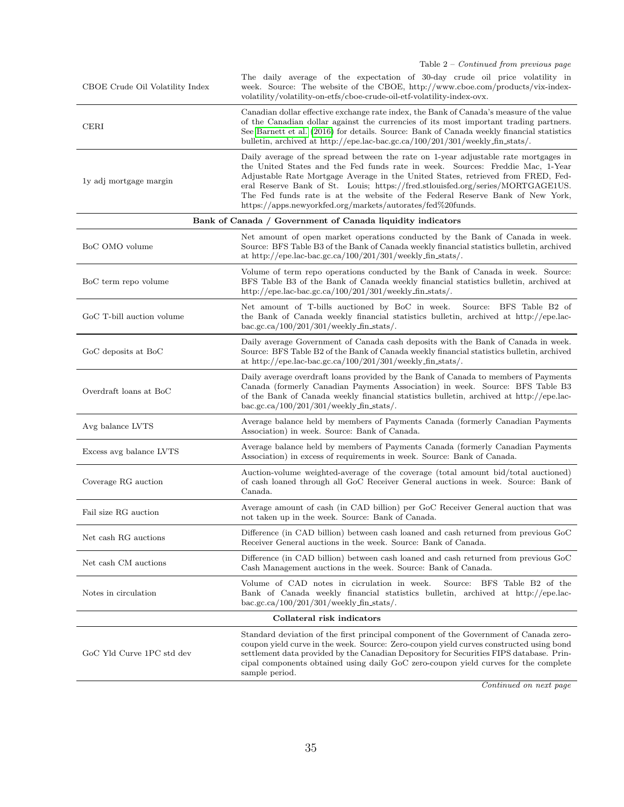Table 2 – Continued from previous page

| CBOE Crude Oil Volatility Index | The daily average of the expectation of 30-day crude oil price volatility in<br>week. Source: The website of the CBOE, http://www.cboe.com/products/vix-index-<br>volatility/volatility-on-etfs/cboe-crude-oil-etf-volatility-index-ovx.                                                                                                                                                                                                                                                    |
|---------------------------------|---------------------------------------------------------------------------------------------------------------------------------------------------------------------------------------------------------------------------------------------------------------------------------------------------------------------------------------------------------------------------------------------------------------------------------------------------------------------------------------------|
| <b>CERI</b>                     | Canadian dollar effective exchange rate index, the Bank of Canada's measure of the value<br>of the Canadian dollar against the currencies of its most important trading partners.<br>See Barnett et al. (2016) for details. Source: Bank of Canada weekly financial statistics<br>bulletin, archived at http://epe.lac-bac.gc.ca/100/201/301/weekly_fin_stats/.                                                                                                                             |
| ly adj mortgage margin          | Daily average of the spread between the rate on 1-year adjustable rate mortgages in<br>the United States and the Fed funds rate in week. Sources: Freddie Mac, 1-Year<br>Adjustable Rate Mortgage Average in the United States, retrieved from FRED, Fed-<br>eral Reserve Bank of St. Louis; https://fred.stlouisfed.org/series/MORTGAGE1US.<br>The Fed funds rate is at the website of the Federal Reserve Bank of New York,<br>https://apps.newyorkfed.org/markets/autorates/fed%20funds. |
|                                 | Bank of Canada / Government of Canada liquidity indicators                                                                                                                                                                                                                                                                                                                                                                                                                                  |
| BoC OMO volume                  | Net amount of open market operations conducted by the Bank of Canada in week.<br>Source: BFS Table B3 of the Bank of Canada weekly financial statistics bulletin, archived<br>at http://epe.lac-bac.gc.ca/100/201/301/weekly_fin_stats/.                                                                                                                                                                                                                                                    |
| BoC term repo volume            | Volume of term repo operations conducted by the Bank of Canada in week. Source:<br>BFS Table B3 of the Bank of Canada weekly financial statistics bulletin, archived at<br>http://epe.lac-bac.gc.ca/100/201/301/weekly_fin_stats/.                                                                                                                                                                                                                                                          |
| GoC T-bill auction volume       | Net amount of T-bills auctioned by BoC in week.<br>Source:<br>BFS Table B2 of<br>the Bank of Canada weekly financial statistics bulletin, archived at http://epe.lac-<br>bac.gc.ca/ $100/201/301$ /weekly_fin_stats/.                                                                                                                                                                                                                                                                       |
| GoC deposits at BoC             | Daily average Government of Canada cash deposits with the Bank of Canada in week.<br>Source: BFS Table B2 of the Bank of Canada weekly financial statistics bulletin, archived<br>at http://epe.lac-bac.gc.ca/100/201/301/weekly_fin_stats/.                                                                                                                                                                                                                                                |
| Overdraft loans at BoC          | Daily average overdraft loans provided by the Bank of Canada to members of Payments<br>Canada (formerly Canadian Payments Association) in week. Source: BFS Table B3<br>of the Bank of Canada weekly financial statistics bulletin, archived at http://epe.lac-<br>bac.gc.ca/ $100/201/301$ /weekly_fin_stats/.                                                                                                                                                                             |
| Avg balance LVTS                | Average balance held by members of Payments Canada (formerly Canadian Payments<br>Association) in week. Source: Bank of Canada.                                                                                                                                                                                                                                                                                                                                                             |
| Excess avg balance LVTS         | Average balance held by members of Payments Canada (formerly Canadian Payments<br>Association) in excess of requirements in week. Source: Bank of Canada.                                                                                                                                                                                                                                                                                                                                   |
| Coverage RG auction             | Auction-volume weighted-average of the coverage (total amount bid/total auctioned)<br>of cash loaned through all GoC Receiver General auctions in week. Source: Bank of<br>Canada.                                                                                                                                                                                                                                                                                                          |
| Fail size RG auction            | Average amount of cash (in CAD billion) per GoC Receiver General auction that was<br>not taken up in the week. Source: Bank of Canada.                                                                                                                                                                                                                                                                                                                                                      |
| Net cash RG auctions            | Difference (in CAD billion) between cash loaned and cash returned from previous GoC<br>Receiver General auctions in the week. Source: Bank of Canada.                                                                                                                                                                                                                                                                                                                                       |
| Net cash CM auctions            | Difference (in CAD billion) between cash loaned and cash returned from previous GoC<br>Cash Management auctions in the week. Source: Bank of Canada.                                                                                                                                                                                                                                                                                                                                        |
| Notes in circulation            | Volume of CAD notes in cicrulation in week.<br>Source:<br>BFS Table B2 of the<br>Bank of Canada weekly financial statistics bulletin, archived at http://epe.lac-<br>bac.gc.ca/ $100/201/301$ /weekly_fin_stats/.                                                                                                                                                                                                                                                                           |
|                                 | Collateral risk indicators                                                                                                                                                                                                                                                                                                                                                                                                                                                                  |
| GoC Yld Curve 1PC std dev       | Standard deviation of the first principal component of the Government of Canada zero-<br>coupon yield curve in the week. Source: Zero-coupon yield curves constructed using bond<br>settlement data provided by the Canadian Depository for Securities FIPS database. Prin-<br>cipal components obtained using daily GoC zero-coupon yield curves for the complete<br>sample period.                                                                                                        |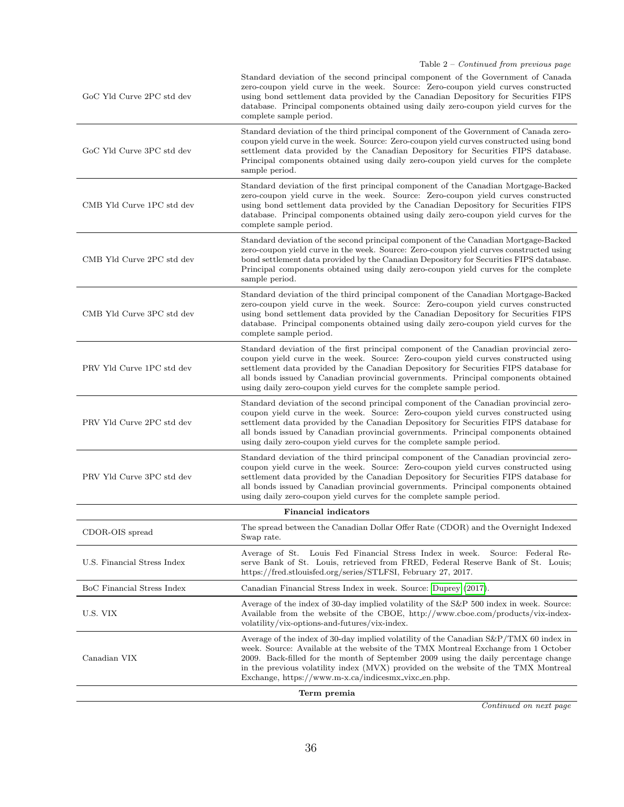| GoC Yld Curve 2PC std dev   | Standard deviation of the second principal component of the Government of Canada<br>zero-coupon yield curve in the week. Source: Zero-coupon yield curves constructed<br>using bond settlement data provided by the Canadian Depository for Securities FIPS<br>database. Principal components obtained using daily zero-coupon yield curves for the<br>complete sample period.                                                    |  |  |  |  |  |  |  |
|-----------------------------|-----------------------------------------------------------------------------------------------------------------------------------------------------------------------------------------------------------------------------------------------------------------------------------------------------------------------------------------------------------------------------------------------------------------------------------|--|--|--|--|--|--|--|
| GoC Yld Curve 3PC std dev   | Standard deviation of the third principal component of the Government of Canada zero-<br>coupon yield curve in the week. Source: Zero-coupon yield curves constructed using bond<br>settlement data provided by the Canadian Depository for Securities FIPS database.<br>Principal components obtained using daily zero-coupon yield curves for the complete<br>sample period.                                                    |  |  |  |  |  |  |  |
| CMB Yld Curve 1PC std dev   | Standard deviation of the first principal component of the Canadian Mortgage-Backed<br>zero-coupon yield curve in the week. Source: Zero-coupon yield curves constructed<br>using bond settlement data provided by the Canadian Depository for Securities FIPS<br>database. Principal components obtained using daily zero-coupon yield curves for the<br>complete sample period.                                                 |  |  |  |  |  |  |  |
| CMB Yld Curve 2PC std dev   | Standard deviation of the second principal component of the Canadian Mortgage-Backed<br>zero-coupon yield curve in the week. Source: Zero-coupon yield curves constructed using<br>bond settlement data provided by the Canadian Depository for Securities FIPS database.<br>Principal components obtained using daily zero-coupon yield curves for the complete<br>sample period.                                                |  |  |  |  |  |  |  |
| CMB Yld Curve 3PC std dev   | Standard deviation of the third principal component of the Canadian Mortgage-Backed<br>zero-coupon yield curve in the week. Source: Zero-coupon yield curves constructed<br>using bond settlement data provided by the Canadian Depository for Securities FIPS<br>database. Principal components obtained using daily zero-coupon yield curves for the<br>complete sample period.                                                 |  |  |  |  |  |  |  |
| PRV Yld Curve 1PC std dev   | Standard deviation of the first principal component of the Canadian provincial zero-<br>coupon yield curve in the week. Source: Zero-coupon yield curves constructed using<br>settlement data provided by the Canadian Depository for Securities FIPS database for<br>all bonds issued by Canadian provincial governments. Principal components obtained<br>using daily zero-coupon yield curves for the complete sample period.  |  |  |  |  |  |  |  |
| PRV Yld Curve 2PC std dev   | Standard deviation of the second principal component of the Canadian provincial zero-<br>coupon yield curve in the week. Source: Zero-coupon yield curves constructed using<br>settlement data provided by the Canadian Depository for Securities FIPS database for<br>all bonds issued by Canadian provincial governments. Principal components obtained<br>using daily zero-coupon yield curves for the complete sample period. |  |  |  |  |  |  |  |
| PRV Yld Curve 3PC std dev   | Standard deviation of the third principal component of the Canadian provincial zero-<br>coupon yield curve in the week. Source: Zero-coupon yield curves constructed using<br>settlement data provided by the Canadian Depository for Securities FIPS database for<br>all bonds issued by Canadian provincial governments. Principal components obtained<br>using daily zero-coupon yield curves for the complete sample period.  |  |  |  |  |  |  |  |
|                             | <b>Financial indicators</b>                                                                                                                                                                                                                                                                                                                                                                                                       |  |  |  |  |  |  |  |
| CDOR-OIS spread             | The spread between the Canadian Dollar Offer Rate (CDOR) and the Overnight Indexed<br>Swap rate.                                                                                                                                                                                                                                                                                                                                  |  |  |  |  |  |  |  |
| U.S. Financial Stress Index | Louis Fed Financial Stress Index in week.<br>Average of St.<br>Source: Federal Re-<br>serve Bank of St. Louis, retrieved from FRED, Federal Reserve Bank of St. Louis;<br>https://fred.stlouisfed.org/series/STLFSI, February 27, 2017.                                                                                                                                                                                           |  |  |  |  |  |  |  |
| BoC Financial Stress Index  | Canadian Financial Stress Index in week. Source: Duprey (2017).                                                                                                                                                                                                                                                                                                                                                                   |  |  |  |  |  |  |  |
| U.S. VIX                    | Average of the index of 30-day implied volatility of the S&P 500 index in week. Source:<br>Available from the website of the CBOE, http://www.cboe.com/products/vix-index-<br>volatility/vix-options-and-futures/vix-index.                                                                                                                                                                                                       |  |  |  |  |  |  |  |
| Canadian VIX                | Average of the index of 30-day implied volatility of the Canadian S&P/TMX 60 index in<br>week. Source: Available at the website of the TMX Montreal Exchange from 1 October<br>2009. Back-filled for the month of September 2009 using the daily percentage change<br>in the previous volatility index (MVX) provided on the website of the TMX Montreal<br>Exchange, https://www.m-x.ca/indicesmx_vixc_en.php.                   |  |  |  |  |  |  |  |
| Term premia                 |                                                                                                                                                                                                                                                                                                                                                                                                                                   |  |  |  |  |  |  |  |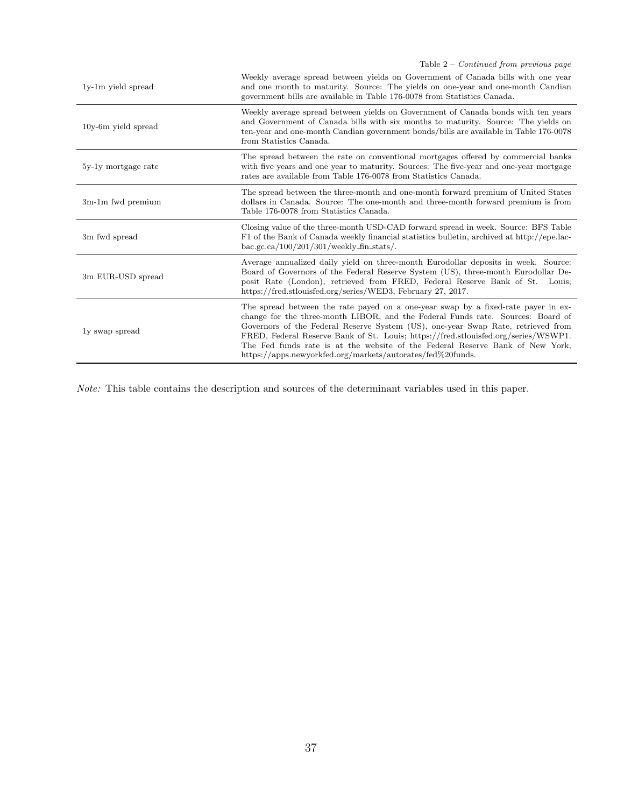Table 2 – Continued from previous page

| 1y-1m yield spread    | Weekly average spread between yields on Government of Canada bills with one year<br>and one month to maturity. Source: The yields on one-year and one-month Candian<br>government bills are available in Table 176-0078 from Statistics Canada.                                                                                                                                                                                                                                               |
|-----------------------|-----------------------------------------------------------------------------------------------------------------------------------------------------------------------------------------------------------------------------------------------------------------------------------------------------------------------------------------------------------------------------------------------------------------------------------------------------------------------------------------------|
| $10y-6m$ yield spread | Weekly average spread between yields on Government of Canada bonds with ten years<br>and Government of Canada bills with six months to maturity. Source: The yields on<br>ten-year and one-month Candian government bonds/bills are available in Table 176-0078<br>from Statistics Canada.                                                                                                                                                                                                    |
| 5y-1y mortgage rate   | The spread between the rate on conventional mortgages offered by commercial banks<br>with five years and one year to maturity. Sources: The five-year and one-year mortgage<br>rates are available from Table 176-0078 from Statistics Canada.                                                                                                                                                                                                                                                |
| 3m-1m fwd premium     | The spread between the three-month and one-month forward premium of United States<br>dollars in Canada. Source: The one-month and three-month forward premium is from<br>Table 176-0078 from Statistics Canada.                                                                                                                                                                                                                                                                               |
| 3m fwd spread         | Closing value of the three-month USD-CAD forward spread in week. Source: BFS Table<br>F1 of the Bank of Canada weekly financial statistics bulletin, archived at http://epe.lac-<br>$bac.gc.ca/100/201/301/weakly-fin\_stats/$ .                                                                                                                                                                                                                                                              |
| 3m EUR-USD spread     | Average annualized daily yield on three-month Eurodollar deposits in week. Source:<br>Board of Governors of the Federal Reserve System (US), three-month Eurodollar De-<br>posit Rate (London), retrieved from FRED, Federal Reserve Bank of St.<br>Louis:<br>https://fred.stlouisfed.org/series/WED3, February 27, 2017.                                                                                                                                                                     |
| ly swap spread        | The spread between the rate payed on a one-year swap by a fixed-rate payer in ex-<br>change for the three-month LIBOR, and the Federal Funds rate. Sources: Board of<br>Governors of the Federal Reserve System (US), one-year Swap Rate, retrieved from<br>FRED, Federal Reserve Bank of St. Louis; https://fred.stlouisfed.org/series/WSWP1.<br>The Fed funds rate is at the website of the Federal Reserve Bank of New York,<br>https://apps.newyorkfed.org/markets/autorates/fed%20funds. |

Note: This table contains the description and sources of the determinant variables used in this paper.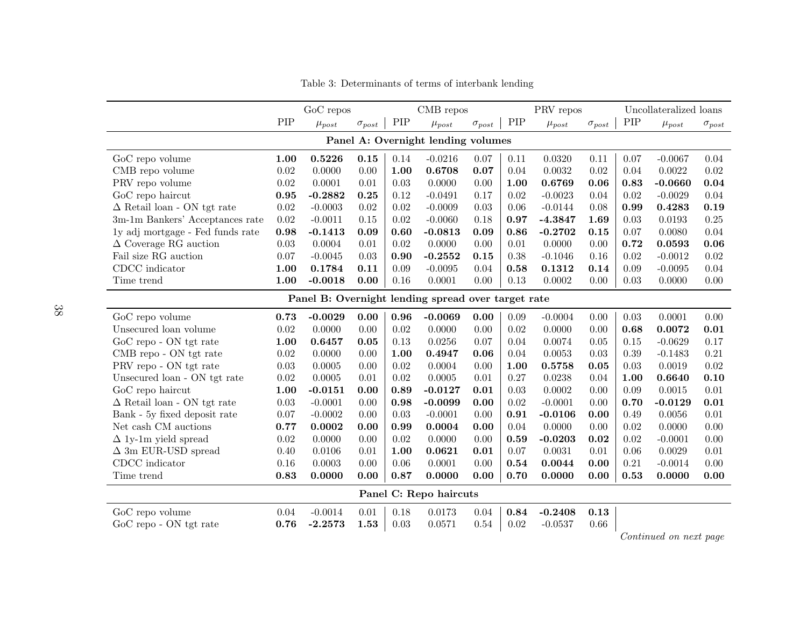<span id="page-40-0"></span>

|                                                    |      | GoC repos    |                 | CMB repos |              |                 | PRV repos |              |                 | Uncollateralized loans     |              |                 |
|----------------------------------------------------|------|--------------|-----------------|-----------|--------------|-----------------|-----------|--------------|-----------------|----------------------------|--------------|-----------------|
|                                                    | PIP  | $\mu_{post}$ | $\sigma_{post}$ | PIP       | $\mu_{post}$ | $\sigma_{post}$ | PIP       | $\mu_{post}$ | $\sigma_{post}$ | PIP                        | $\mu_{post}$ | $\sigma_{post}$ |
| Panel A: Overnight lending volumes                 |      |              |                 |           |              |                 |           |              |                 |                            |              |                 |
| GoC repo volume                                    | 1.00 | 0.5226       | 0.15            | 0.14      | $-0.0216$    | 0.07            | 0.11      | 0.0320       | 0.11            | 0.07                       | $-0.0067$    | 0.04            |
| CMB repo volume                                    | 0.02 | 0.0000       | 0.00            | 1.00      | 0.6708       | 0.07            | 0.04      | 0.0032       | 0.02            | 0.04                       | 0.0022       | 0.02            |
| PRV repo volume                                    | 0.02 | 0.0001       | 0.01            | 0.03      | 0.0000       | 0.00            | 1.00      | 0.6769       | 0.06            | 0.83                       | $-0.0660$    | 0.04            |
| GoC repo haircut                                   | 0.95 | $-0.2882$    | 0.25            | 0.12      | $-0.0491$    | 0.17            | 0.02      | $-0.0023$    | 0.04            | 0.02                       | $-0.0029$    | 0.04            |
| $\Delta$ Retail loan - ON tgt rate                 | 0.02 | $-0.0003$    | 0.02            | 0.02      | $-0.0009$    | 0.03            | 0.06      | $-0.0144$    | 0.08            | 0.99                       | 0.4283       | 0.19            |
| 3m-1m Bankers' Acceptances rate                    | 0.02 | $-0.0011$    | 0.15            | 0.02      | $-0.0060$    | 0.18            | 0.97      | $-4.3847$    | 1.69            | 0.03                       | 0.0193       | 0.25            |
| ly adj mortgage - Fed funds rate                   | 0.98 | $-0.1413$    | 0.09            | 0.60      | $-0.0813$    | 0.09            | 0.86      | $-0.2702$    | 0.15            | 0.07                       | 0.0080       | 0.04            |
| $\Delta$ Coverage RG auction                       | 0.03 | 0.0004       | 0.01            | 0.02      | 0.0000       | 0.00            | 0.01      | 0.0000       | 0.00            | 0.72                       | 0.0593       | 0.06            |
| Fail size RG auction                               | 0.07 | $-0.0045$    | 0.03            | 0.90      | $-0.2552$    | 0.15            | 0.38      | $-0.1046$    | 0.16            | 0.02                       | $-0.0012$    | 0.02            |
| CDCC indicator                                     | 1.00 | 0.1784       | 0.11            | 0.09      | $-0.0095$    | 0.04            | 0.58      | 0.1312       | 0.14            | 0.09                       | $-0.0095$    | 0.04            |
| Time trend                                         | 1.00 | $-0.0018$    | 0.00            | 0.16      | 0.0001       | 0.00            | 0.13      | 0.0002       | 0.00            | 0.03                       | 0.0000       | 0.00            |
| Panel B: Overnight lending spread over target rate |      |              |                 |           |              |                 |           |              |                 |                            |              |                 |
| GoC repo volume                                    | 0.73 | $-0.0029$    | 0.00            | 0.96      | $-0.0069$    | 0.00            | 0.09      | $-0.0004$    | 0.00            | 0.03                       | 0.0001       | 0.00            |
| Unsecured loan volume                              | 0.02 | 0.0000       | 0.00            | 0.02      | 0.0000       | 0.00            | 0.02      | 0.0000       | 0.00            | 0.68                       | 0.0072       | 0.01            |
| GoC repo - ON tgt rate                             | 1.00 | 0.6457       | 0.05            | 0.13      | 0.0256       | 0.07            | 0.04      | 0.0074       | 0.05            | 0.15                       | $-0.0629$    | 0.17            |
| CMB repo - ON tgt rate                             | 0.02 | 0.0000       | 0.00            | 1.00      | 0.4947       | 0.06            | 0.04      | 0.0053       | 0.03            | 0.39                       | $-0.1483$    | 0.21            |
| PRV repo - ON tgt rate                             | 0.03 | 0.0005       | 0.00            | 0.02      | 0.0004       | 0.00            | 1.00      | 0.5758       | 0.05            | 0.03                       | 0.0019       | 0.02            |
| Unsecured loan - ON tgt rate                       | 0.02 | 0.0005       | 0.01            | 0.02      | 0.0005       | 0.01            | 0.27      | 0.0238       | 0.04            | 1.00                       | 0.6640       | 0.10            |
| GoC repo haircut                                   | 1.00 | $-0.0151$    | 0.00            | 0.89      | $-0.0127$    | 0.01            | 0.03      | 0.0002       | 0.00            | 0.09                       | 0.0015       | 0.01            |
| $\Delta$ Retail loan - ON tgt rate                 | 0.03 | $-0.0001$    | 0.00            | 0.98      | $-0.0099$    | 0.00            | 0.02      | $-0.0001$    | 0.00            | 0.70                       | $-0.0129$    | 0.01            |
| Bank - 5y fixed deposit rate                       | 0.07 | $-0.0002$    | 0.00            | 0.03      | $-0.0001$    | 0.00            | 0.91      | $-0.0106$    | 0.00            | 0.49                       | 0.0056       | 0.01            |
| Net cash CM auctions                               | 0.77 | 0.0002       | 0.00            | 0.99      | 0.0004       | 0.00            | 0.04      | 0.0000       | 0.00            | 0.02                       | 0.0000       | 0.00            |
| $\Delta$ 1y-1m yield spread                        | 0.02 | 0.0000       | 0.00            | 0.02      | 0.0000       | 0.00            | 0.59      | $-0.0203$    | 0.02            | 0.02                       | $-0.0001$    | 0.00            |
| $\Delta$ 3m EUR-USD spread                         | 0.40 | 0.0106       | 0.01            | 1.00      | 0.0621       | 0.01            | 0.07      | 0.0031       | 0.01            | 0.06                       | 0.0029       | 0.01            |
| CDCC indicator                                     | 0.16 | 0.0003       | 0.00            | 0.06      | 0.0001       | 0.00            | 0.54      | 0.0044       | 0.00            | 0.21                       | $-0.0014$    | 0.00            |
| Time trend                                         | 0.83 | 0.0000       | 0.00            | 0.87      | 0.0000       | 0.00            | 0.70      | 0.0000       | 0.00            | 0.53                       | 0.0000       | 0.00            |
| Panel C: Repo haircuts                             |      |              |                 |           |              |                 |           |              |                 |                            |              |                 |
| GoC repo volume                                    | 0.04 | $-0.0014$    | 0.01            | 0.18      | 0.0173       | 0.04            | 0.84      | $-0.2408$    | $\bf 0.13$      |                            |              |                 |
| GoC repo - ON tgt rate                             | 0.76 | $-2.2573$    | 1.53            | 0.03      | 0.0571       | 0.54            | 0.02      | $-0.0537$    | 0.66            |                            |              |                 |
|                                                    |      |              |                 |           |              |                 |           |              |                 | $\gamma$ $\cdots$ $\gamma$ |              |                 |

Table 3: Determinants of terms of interbank lending